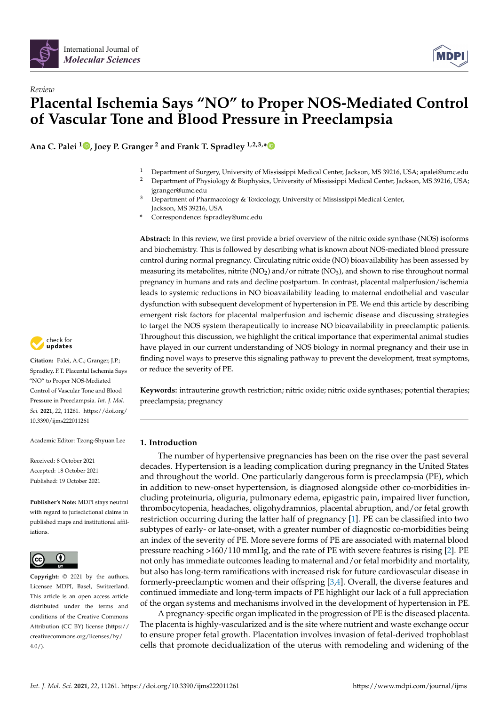



# *Review* **Placental Ischemia Says "NO" to Proper NOS-Mediated Control of Vascular Tone and Blood Pressure in Preeclampsia**

**Ana C. Palei <sup>1</sup> [,](https://orcid.org/0000-0002-2669-5301) Joey P. Granger <sup>2</sup> and Frank T. Spradley 1,2,3,[\\*](https://orcid.org/0000-0003-3293-2753)**

- <sup>1</sup> Department of Surgery, University of Mississippi Medical Center, Jackson, MS 39216, USA; apalei@umc.edu<br><sup>2</sup> Department of Physiology & Piophysics University of Mississippi Medical Center, Jackson, MS 20216, USA
- <sup>2</sup> Department of Physiology & Biophysics, University of Mississippi Medical Center, Jackson, MS 39216, USA; jgranger@umc.edu
- <sup>3</sup> Department of Pharmacology & Toxicology, University of Mississippi Medical Center, Jackson, MS 39216, USA
- **\*** Correspondence: fspradley@umc.edu

**Abstract:** In this review, we first provide a brief overview of the nitric oxide synthase (NOS) isoforms and biochemistry. This is followed by describing what is known about NOS-mediated blood pressure control during normal pregnancy. Circulating nitric oxide (NO) bioavailability has been assessed by measuring its metabolites, nitrite (NO<sub>2</sub>) and/or nitrate (NO<sub>3</sub>), and shown to rise throughout normal pregnancy in humans and rats and decline postpartum. In contrast, placental malperfusion/ischemia leads to systemic reductions in NO bioavailability leading to maternal endothelial and vascular dysfunction with subsequent development of hypertension in PE. We end this article by describing emergent risk factors for placental malperfusion and ischemic disease and discussing strategies to target the NOS system therapeutically to increase NO bioavailability in preeclamptic patients. Throughout this discussion, we highlight the critical importance that experimental animal studies have played in our current understanding of NOS biology in normal pregnancy and their use in finding novel ways to preserve this signaling pathway to prevent the development, treat symptoms, or reduce the severity of PE.

**Keywords:** intrauterine growth restriction; nitric oxide; nitric oxide synthases; potential therapies; preeclampsia; pregnancy

# **1. Introduction**

The number of hypertensive pregnancies has been on the rise over the past several decades. Hypertension is a leading complication during pregnancy in the United States and throughout the world. One particularly dangerous form is preeclampsia (PE), which in addition to new-onset hypertension, is diagnosed alongside other co-morbidities including proteinuria, oliguria, pulmonary edema, epigastric pain, impaired liver function, thrombocytopenia, headaches, oligohydramnios, placental abruption, and/or fetal growth restriction occurring during the latter half of pregnancy [\[1\]](#page-12-0). PE can be classified into two subtypes of early- or late-onset, with a greater number of diagnostic co-morbidities being an index of the severity of PE. More severe forms of PE are associated with maternal blood pressure reaching >160/110 mmHg, and the rate of PE with severe features is rising [\[2\]](#page-12-1). PE not only has immediate outcomes leading to maternal and/or fetal morbidity and mortality, but also has long-term ramifications with increased risk for future cardiovascular disease in formerly-preeclamptic women and their offspring [\[3](#page-12-2)[,4\]](#page-12-3). Overall, the diverse features and continued immediate and long-term impacts of PE highlight our lack of a full appreciation of the organ systems and mechanisms involved in the development of hypertension in PE.

A pregnancy-specific organ implicated in the progression of PE is the diseased placenta. The placenta is highly-vascularized and is the site where nutrient and waste exchange occur to ensure proper fetal growth. Placentation involves invasion of fetal-derived trophoblast cells that promote decidualization of the uterus with remodeling and widening of the



**Citation:** Palei, A.C.; Granger, J.P.; Spradley, F.T. Placental Ischemia Says "NO" to Proper NOS-Mediated Control of Vascular Tone and Blood Pressure in Preeclampsia. *Int. J. Mol. Sci.* **2021**, *22*, 11261. [https://doi.org/](https://doi.org/10.3390/ijms222011261) [10.3390/ijms222011261](https://doi.org/10.3390/ijms222011261)

Academic Editor: Tzong-Shyuan Lee

Received: 8 October 2021 Accepted: 18 October 2021 Published: 19 October 2021

**Publisher's Note:** MDPI stays neutral with regard to jurisdictional claims in published maps and institutional affiliations.



**Copyright:** © 2021 by the authors. Licensee MDPI, Basel, Switzerland. This article is an open access article distributed under the terms and conditions of the Creative Commons Attribution (CC BY) license (https:/[/](https://creativecommons.org/licenses/by/4.0/) [creativecommons.org/licenses/by/](https://creativecommons.org/licenses/by/4.0/)  $4.0/$ ).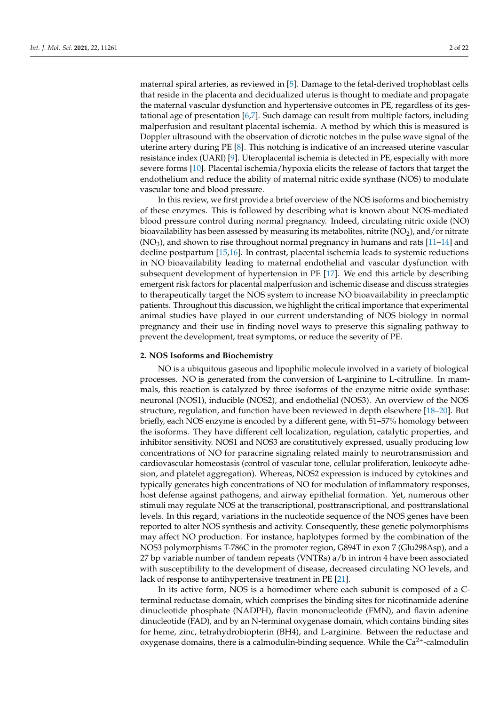maternal spiral arteries, as reviewed in [\[5\]](#page-12-4). Damage to the fetal-derived trophoblast cells that reside in the placenta and decidualized uterus is thought to mediate and propagate the maternal vascular dysfunction and hypertensive outcomes in PE, regardless of its gestational age of presentation [\[6,](#page-12-5)[7\]](#page-12-6). Such damage can result from multiple factors, including malperfusion and resultant placental ischemia. A method by which this is measured is Doppler ultrasound with the observation of dicrotic notches in the pulse wave signal of the uterine artery during PE [\[8\]](#page-12-7). This notching is indicative of an increased uterine vascular resistance index (UARI) [\[9\]](#page-12-8). Uteroplacental ischemia is detected in PE, especially with more severe forms [\[10\]](#page-12-9). Placental ischemia/hypoxia elicits the release of factors that target the endothelium and reduce the ability of maternal nitric oxide synthase (NOS) to modulate vascular tone and blood pressure.

In this review, we first provide a brief overview of the NOS isoforms and biochemistry of these enzymes. This is followed by describing what is known about NOS-mediated blood pressure control during normal pregnancy. Indeed, circulating nitric oxide (NO) bioavailability has been assessed by measuring its metabolites, nitrite  $(NO<sub>2</sub>)$ , and/or nitrate  $(NO<sub>3</sub>)$ , and shown to rise throughout normal pregnancy in humans and rats  $[11-14]$  $[11-14]$  and decline postpartum [\[15,](#page-13-1)[16\]](#page-13-2). In contrast, placental ischemia leads to systemic reductions in NO bioavailability leading to maternal endothelial and vascular dysfunction with subsequent development of hypertension in PE [\[17\]](#page-13-3). We end this article by describing emergent risk factors for placental malperfusion and ischemic disease and discuss strategies to therapeutically target the NOS system to increase NO bioavailability in preeclamptic patients. Throughout this discussion, we highlight the critical importance that experimental animal studies have played in our current understanding of NOS biology in normal pregnancy and their use in finding novel ways to preserve this signaling pathway to prevent the development, treat symptoms, or reduce the severity of PE.

# **2. NOS Isoforms and Biochemistry**

NO is a ubiquitous gaseous and lipophilic molecule involved in a variety of biological processes. NO is generated from the conversion of L-arginine to L-citrulline. In mammals, this reaction is catalyzed by three isoforms of the enzyme nitric oxide synthase: neuronal (NOS1), inducible (NOS2), and endothelial (NOS3). An overview of the NOS structure, regulation, and function have been reviewed in depth elsewhere [\[18](#page-13-4)[–20\]](#page-13-5). But briefly, each NOS enzyme is encoded by a different gene, with 51–57% homology between the isoforms. They have different cell localization, regulation, catalytic properties, and inhibitor sensitivity. NOS1 and NOS3 are constitutively expressed, usually producing low concentrations of NO for paracrine signaling related mainly to neurotransmission and cardiovascular homeostasis (control of vascular tone, cellular proliferation, leukocyte adhesion, and platelet aggregation). Whereas, NOS2 expression is induced by cytokines and typically generates high concentrations of NO for modulation of inflammatory responses, host defense against pathogens, and airway epithelial formation. Yet, numerous other stimuli may regulate NOS at the transcriptional, posttranscriptional, and posttranslational levels. In this regard, variations in the nucleotide sequence of the NOS genes have been reported to alter NOS synthesis and activity. Consequently, these genetic polymorphisms may affect NO production. For instance, haplotypes formed by the combination of the NOS3 polymorphisms T-786C in the promoter region, G894T in exon 7 (Glu298Asp), and a 27 bp variable number of tandem repeats (VNTRs) a/b in intron 4 have been associated with susceptibility to the development of disease, decreased circulating NO levels, and lack of response to antihypertensive treatment in PE [\[21\]](#page-13-6).

In its active form, NOS is a homodimer where each subunit is composed of a Cterminal reductase domain, which comprises the binding sites for nicotinamide adenine dinucleotide phosphate (NADPH), flavin mononucleotide (FMN), and flavin adenine dinucleotide (FAD), and by an N-terminal oxygenase domain, which contains binding sites for heme, zinc, tetrahydrobiopterin (BH4), and L-arginine. Between the reductase and oxygenase domains, there is a calmodulin-binding sequence. While the  $Ca^{2+}$ -calmodulin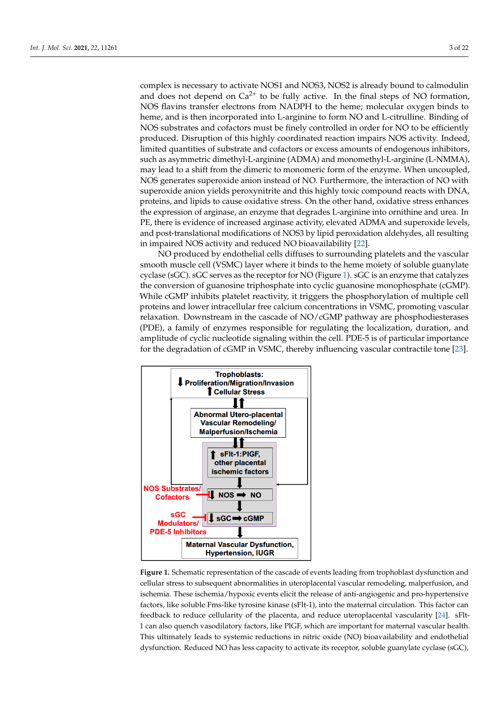complex is necessary to activate NOS1 and NOS3, NOS2 is already bound to calmodulin and does not depend on  $Ca^{2+}$  to be fully active. In the final steps of NO formation, NOS flavins transfer electrons from NADPH to the heme; molecular oxygen binds to heme, and is then incorporated into L-arginine to form NO and L-citrulline. Binding of NOS substrates and cofactors must be finely controlled in order for NO to be efficiently produced. Disruption of this highly coordinated reaction impairs NOS activity. Indeed, numited quantities of substrate and cofactors or excess amounts of endogenous inhibitors, such as asymmetric dimethyl-L-arginine (ADMA) and monomethyl-L-arginine (L-NMMA), may lead to a shift from the dimeric to monomeric form of the enzyme. When uncoupled, NOS generates superoxide anion instead of NO. Furthermore, the interaction of NO with superoxide anion yields peroxynitrite and this highly toxic compound reacts with DNA, proteins, and lipids to cause oxidative stress. On the other hand, oxidative stress enhances the expression of arginase, an enzyme that degrades L-arginine into ornithine and urea. In PE, there is evidence of increased arginase activity, elevated ADMA and superoxide levels, and post-translational modifications of NOS3 by lipid peroxidation aldehydes, all resulting in impaired NOS activity and reduced NO bioavailability [22].

NO produced by endothelial cells diffuses to surrounding platelets and the vascular smooth muscle cell (VSMC) layer where it binds to the heme moiety of soluble guanylate cyclase (sGC). sGC serves as the receptor for NO (Figure 1). sGC is an enzyme that catalyzes the conversion of guanosine triphosphate into cyclic guanosine monophosphate (cGMP). While cGMP inhibits platelet reactivity, it triggers the phosphorylation of multiple cell proteins and lower intracellular free calcium concentrations in VSMC, promoting vascular relaxation. Downstream in the cascade of NO/cGMP pathway are phosphodiesterases (PDE), a family of enzymes responsible for regulating the localization, duration, and amplitude of cyclic nucleotide signaling within the cell. PDE-5 is of particular importance for the degradation of cGMP in VSMC, thereby influencing vascular contractile tone [\[23\]](#page-13-8).

<span id="page-2-0"></span>

**Figure 1.** Schematic representation of the cascade of events leading from trophoblast dysfunction and cellular stress to subsequent abnormalities in uteroplacental vascular remodeling, malperfusion, and ischemia. These ischemia/hypoxic events elicit the release of anti-angiogenic and pro-hypertensive factors, like soluble Fms-like tyrosine kinase (sFlt-1), into the maternal circulation. This factor can feedback to reduce cellularity of the placenta, and reduce uteroplacental vascularity [\[24\]](#page-13-9). sFlt-1 can also quench vasodilatory factors, like PlGF, which are important for maternal vascular health. This ultimately leads to systemic reductions in nitric oxide (NO) bioavailability and endothelial dysfunction. Reduced NO has less capacity to activate its receptor, soluble guanylate cyclase (sGC),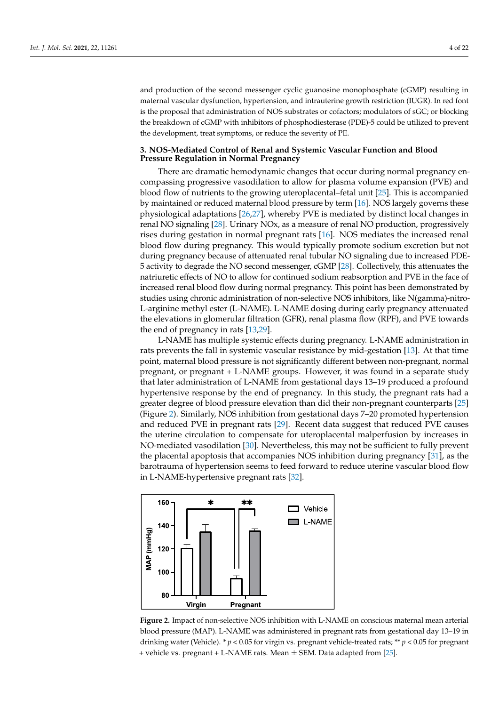and production of the second messenger cyclic guanosine monophosphate (cGMP) resulting in maternal vascular dysfunction, hypertension, and intrauterine growth restriction (IUGR). In red font is the proposal that administration of NOS substrates or cofactors; modulators of sGC; or blocking the breakdown of cGMP with inhibitors of phosphodiesterase (PDE)-5 could be utilized to prevent the development, treat symptoms, or reduce the severity of PE.

# **3. NOS-Mediated Control of Renal and Systemic Vascular Function and Blood Pressure Regulation in Normal Pregnancy**

There are dramatic hemodynamic changes that occur during normal pregnancy encompassing progressive vasodilation to allow for plasma volume expansion (PVE) and blood flow of nutrients to the growing uteroplacental–fetal unit [\[25\]](#page-13-10). This is accompanied by maintained or reduced maternal blood pressure by term [\[16\]](#page-13-2). NOS largely governs these physiological adaptations [\[26](#page-13-11)[,27\]](#page-13-12), whereby PVE is mediated by distinct local changes in renal NO signaling [\[28\]](#page-13-13). Urinary NOx, as a measure of renal NO production, progressively rises during gestation in normal pregnant rats [\[16\]](#page-13-2). NOS mediates the increased renal blood flow during pregnancy. This would typically promote sodium excretion but not during pregnancy because of attenuated renal tubular NO signaling due to increased PDE-5 activity to degrade the NO second messenger, cGMP [\[28\]](#page-13-13). Collectively, this attenuates the natriuretic effects of NO to allow for continued sodium reabsorption and PVE in the face of increased renal blood flow during normal pregnancy. This point has been demonstrated by studies using chronic administration of non-selective NOS inhibitors, like N(gamma)-nitro-L-arginine methyl ester (L-NAME). L-NAME dosing during early pregnancy attenuated the elevations in glomerular filtration (GFR), renal plasma flow (RPF), and PVE towards the end of pregnancy in rats [\[13](#page-12-11)[,29\]](#page-13-14).

L-NAME has multiple systemic effects during pregnancy. L-NAME administration in rats prevents the fall in systemic vascular resistance by mid-gestation [\[13\]](#page-12-11). At that time point, maternal blood pressure is not significantly different between non-pregnant, normal pregnant, or pregnant + L-NAME groups. However, it was found in a separate study that later administration of L-NAME from gestational days 13–19 produced a profound hypertensive response by the end of pregnancy. In this study, the pregnant rats had a greater degree of blood pressure elevation than did their non-pregnant counterparts [\[25\]](#page-13-10) (Figure [2\)](#page-3-0). Similarly, NOS inhibition from gestational days 7–20 promoted hypertension and reduced PVE in pregnant rats [\[29\]](#page-13-14). Recent data suggest that reduced PVE causes the uterine circulation to compensate for uteroplacental malperfusion by increases in NO-mediated vasodilation [\[30\]](#page-13-15). Nevertheless, this may not be sufficient to fully prevent the placental apoptosis that accompanies NOS inhibition during pregnancy [\[31\]](#page-13-16), as the barotrauma of hypertension seems to feed forward to reduce uterine vascular blood flow in L-NAME-hypertensive pregnant rats [\[32\]](#page-13-17).

<span id="page-3-0"></span>

**Figure 2.** Impact of non-selective NOS inhibition with L-NAME on conscious maternal mean arterial blood pressure (MAP). L-NAME was administered in pregnant rats from gestational day 13–19 in blood pressure (MAP). L-NAME was administered in pregnant rats from gestational day 13–19 in drinking water (Vehicle). \*  $p < 0.05$  for virgin vs. pregnant vehicle-treated rats; \*\*  $p < 0.05$  for pregnant nant + vehicle vs. pregnant + L-NAME rats. Mean ± SEM. Data adapted from [25]. + vehicle vs. pregnant + L-NAME rats. Mean ± SEM. Data adapted from [\[25\]](#page-13-10).**Figure 2.** Impact of non-selective NOS inhibition with L-NAME on conscious maternal mean arterial blood pressure (MAP). L-NAME was administered in pregnant rats from gestational day 13–19 in drinking water (Vehicle). \*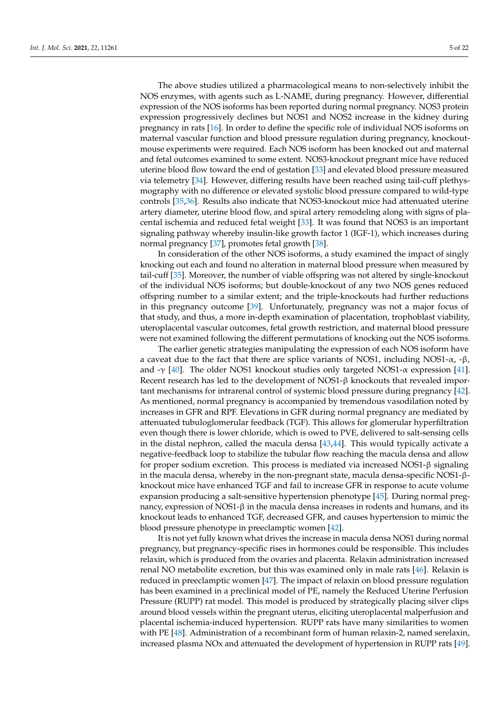The above studies utilized a pharmacological means to non-selectively inhibit the NOS enzymes, with agents such as L-NAME, during pregnancy. However, differential expression of the NOS isoforms has been reported during normal pregnancy. NOS3 protein expression progressively declines but NOS1 and NOS2 increase in the kidney during pregnancy in rats [\[16\]](#page-13-2). In order to define the specific role of individual NOS isoforms on maternal vascular function and blood pressure regulation during pregnancy, knockoutmouse experiments were required. Each NOS isoform has been knocked out and maternal and fetal outcomes examined to some extent. NOS3-knockout pregnant mice have reduced uterine blood flow toward the end of gestation [\[33\]](#page-13-18) and elevated blood pressure measured via telemetry [\[34\]](#page-13-19). However, differing results have been reached using tail-cuff plethysmography with no difference or elevated systolic blood pressure compared to wild-type controls [\[35](#page-13-20)[,36\]](#page-13-21). Results also indicate that NOS3-knockout mice had attenuated uterine artery diameter, uterine blood flow, and spiral artery remodeling along with signs of placental ischemia and reduced fetal weight [\[33\]](#page-13-18). It was found that NOS3 is an important signaling pathway whereby insulin-like growth factor 1 (IGF-1), which increases during normal pregnancy [\[37\]](#page-13-22), promotes fetal growth [\[38\]](#page-13-23).

In consideration of the other NOS isoforms, a study examined the impact of singly knocking out each and found no alteration in maternal blood pressure when measured by tail-cuff [\[35\]](#page-13-20). Moreover, the number of viable offspring was not altered by single-knockout of the individual NOS isoforms; but double-knockout of any two NOS genes reduced offspring number to a similar extent; and the triple-knockouts had further reductions in this pregnancy outcome [\[39\]](#page-13-24). Unfortunately, pregnancy was not a major focus of that study, and thus, a more in-depth examination of placentation, trophoblast viability, uteroplacental vascular outcomes, fetal growth restriction, and maternal blood pressure were not examined following the different permutations of knocking out the NOS isoforms.

The earlier genetic strategies manipulating the expression of each NOS isoform have a caveat due to the fact that there are splice variants of NOS1, including NOS1- $\alpha$ , -β, and -γ [\[40\]](#page-14-0). The older NOS1 knockout studies only targeted NOS1- $\alpha$  expression [\[41\]](#page-14-1). Recent research has led to the development of  $NOS1-\beta$  knockouts that revealed important mechanisms for intrarenal control of systemic blood pressure during pregnancy [\[42\]](#page-14-2). As mentioned, normal pregnancy is accompanied by tremendous vasodilation noted by increases in GFR and RPF. Elevations in GFR during normal pregnancy are mediated by attenuated tubuloglomerular feedback (TGF). This allows for glomerular hyperfiltration even though there is lower chloride, which is owed to PVE, delivered to salt-sensing cells in the distal nephron, called the macula densa [\[43](#page-14-3)[,44\]](#page-14-4). This would typically activate a negative-feedback loop to stabilize the tubular flow reaching the macula densa and allow for proper sodium excretion. This process is mediated via increased  $NOS1-\beta$  signaling in the macula densa, whereby in the non-pregnant state, macula densa-specific NOS1-βknockout mice have enhanced TGF and fail to increase GFR in response to acute volume expansion producing a salt-sensitive hypertension phenotype [\[45\]](#page-14-5). During normal pregnancy, expression of NOS1- $\beta$  in the macula densa increases in rodents and humans, and its knockout leads to enhanced TGF, decreased GFR, and causes hypertension to mimic the blood pressure phenotype in preeclamptic women [\[42\]](#page-14-2).

It is not yet fully known what drives the increase in macula densa NOS1 during normal pregnancy, but pregnancy-specific rises in hormones could be responsible. This includes relaxin, which is produced from the ovaries and placenta. Relaxin administration increased renal NO metabolite excretion, but this was examined only in male rats [\[46\]](#page-14-6). Relaxin is reduced in preeclamptic women [\[47\]](#page-14-7). The impact of relaxin on blood pressure regulation has been examined in a preclinical model of PE, namely the Reduced Uterine Perfusion Pressure (RUPP) rat model. This model is produced by strategically placing silver clips around blood vessels within the pregnant uterus, eliciting uteroplacental malperfusion and placental ischemia-induced hypertension. RUPP rats have many similarities to women with PE [\[48\]](#page-14-8). Administration of a recombinant form of human relaxin-2, named serelaxin, increased plasma NOx and attenuated the development of hypertension in RUPP rats [\[49\]](#page-14-9).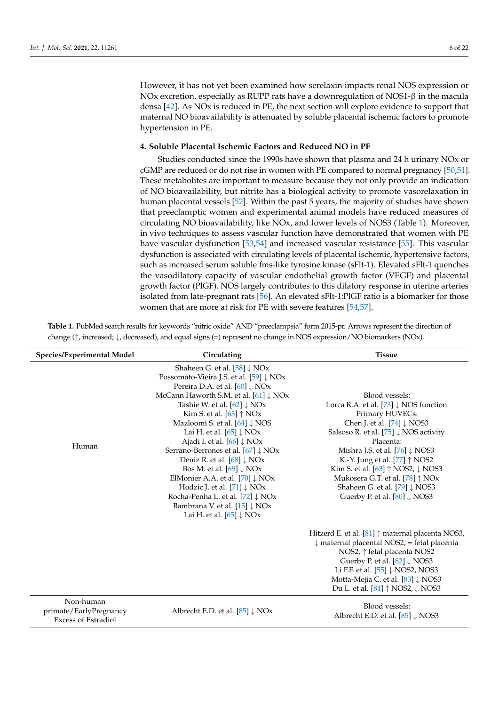However, it has not yet been examined how serelaxin impacts renal NOS expression or NOx excretion, especially as RUPP rats have a downregulation of NOS1-β in the macula densa [\[42\]](#page-14-2). As NOx is reduced in PE, the next section will explore evidence to support that maternal NO bioavailability is attenuated by soluble placental ischemic factors to promote hypertension in PE.

# **4. Soluble Placental Ischemic Factors and Reduced NO in PE**

Studies conducted since the 1990s have shown that plasma and 24 h urinary NOx or cGMP are reduced or do not rise in women with PE compared to normal pregnancy [\[50](#page-14-10)[,51\]](#page-14-11). These metabolites are important to measure because they not only provide an indication of NO bioavailability, but nitrite has a biological activity to promote vasorelaxation in human placental vessels [\[52\]](#page-14-12). Within the past 5 years, the majority of studies have shown that preeclamptic women and experimental animal models have reduced measures of circulating NO bioavailability, like NOx, and lower levels of NOS3 (Table [1\)](#page-5-0). Moreover, in vivo techniques to assess vascular function have demonstrated that women with PE have vascular dysfunction [\[53](#page-14-13)[,54\]](#page-14-14) and increased vascular resistance [\[55\]](#page-14-15). This vascular dysfunction is associated with circulating levels of placental ischemic, hypertensive factors, such as increased serum soluble fms-like tyrosine kinase (sFlt-1). Elevated sFlt-1 quenches the vasodilatory capacity of vascular endothelial growth factor (VEGF) and placental growth factor (PlGF). NOS largely contributes to this dilatory response in uterine arteries isolated from late-pregnant rats [\[56\]](#page-14-16). An elevated sFlt-1:PlGF ratio is a biomarker for those women that are more at risk for PE with severe features [\[54,](#page-14-14)[57\]](#page-14-17).

| Species/Experimental Model                                        | Circulating                                                                                                                                                                                                                                                                                                                                                                                                                                                                                                                                                                                                                                                | <b>Tissue</b>                                                                                                                                                                                                                                                                                                                                                                                                                                      |
|-------------------------------------------------------------------|------------------------------------------------------------------------------------------------------------------------------------------------------------------------------------------------------------------------------------------------------------------------------------------------------------------------------------------------------------------------------------------------------------------------------------------------------------------------------------------------------------------------------------------------------------------------------------------------------------------------------------------------------------|----------------------------------------------------------------------------------------------------------------------------------------------------------------------------------------------------------------------------------------------------------------------------------------------------------------------------------------------------------------------------------------------------------------------------------------------------|
|                                                                   | Shaheen G. et al. $[58]$ $\downarrow$ NOx<br>Possomato-Vieira J.S. et al. [59] $\downarrow$ NOx                                                                                                                                                                                                                                                                                                                                                                                                                                                                                                                                                            |                                                                                                                                                                                                                                                                                                                                                                                                                                                    |
| Human                                                             | Pereira D.A. et al. $[60]$ $\downarrow$ NOx<br>McCann Haworth S.M. et al. $[61]$ $\downarrow$ NOx<br>Tashie W. et al. $[62]$ $\downarrow$ NOx<br>Kim S. et al. $[63]$ $\uparrow$ NOx<br>Mazloomi S. et al. [64] ↓ NOS<br>Lai H. et al. $[65]$ $\downarrow$ NOx<br>Ajadi I. et al. $[66]$ $\downarrow$ NOx<br>Serrano-Berrones et al. [67] ↓ NOx<br>Deniz R. et al. $[68]$ $\downarrow$ NOx<br>Bos M. et al. $[69]$ $\downarrow$ NOx<br>ElMonier A.A. et al. $[70]$ $\downarrow$ NOx<br>Hodzic J. et al. $[71]$ $\downarrow$ NOx<br>Rocha-Penha L. et al. [72] ↓ NOx<br>Bambrana V. et al. $[15]$ $\downarrow$ NOx<br>Lai H. et al. $[65]$ $\downarrow$ NOx | Blood vessels:<br>Lorca R.A. et al. $[73]$ $\downarrow$ NOS function<br>Primary HUVECs:<br>Chen J. et al. $[74]$ $\downarrow$ NOS3<br>Salsoso R. et al. [75] $\downarrow$ NOS activity<br>Placenta:<br>Mishra J.S. et al. [76] ↓ NOS3<br>K.-Y. Jung et al. [77] ↑ NOS2<br>Kim S. et al. [63] ↑ NOS2, ↓ NOS3<br>Mukosera G.T. et al. [78] $\uparrow$ NOx<br>Shaheen G. et al. $[79]$ $\downarrow$ NOS3<br>Guerby P. et al. $[80]$ $\downarrow$ NOS3 |
|                                                                   |                                                                                                                                                                                                                                                                                                                                                                                                                                                                                                                                                                                                                                                            | Hitzerd E. et al. $[81]$ $\uparrow$ maternal placenta NOS3,<br>$\downarrow$ maternal placental NOS2, = fetal placenta<br>NOS2, $\uparrow$ fetal placenta NOS2<br>Guerby P. et al. $[82]$ $\downarrow$ NOS3<br>Li F.F. et al. [55] $\downarrow$ NOS2, NOS3<br>Motta-Mejia C. et al. [83] ↓ NOS3<br>Du L. et al. $[84] \uparrow$ NOS2, $\downarrow$ NOS3                                                                                             |
| Non-human<br>primate/EarlyPregnancy<br><b>Excess of Estradiol</b> | Albrecht E.D. et al. $[85]$ $\downarrow$ NOx                                                                                                                                                                                                                                                                                                                                                                                                                                                                                                                                                                                                               | Blood vessels:<br>Albrecht E.D. et al. $[85]$ $\downarrow$ NOS3                                                                                                                                                                                                                                                                                                                                                                                    |

<span id="page-5-0"></span>**Table 1.** PubMed search results for keywords "nitric oxide" AND "preeclampsia" form 2015-pr. Arrows represent the direction of change (↑, increased; ↓, decreased), and equal signs (=) represent no change in NOS expression/NO biomarkers (NOx).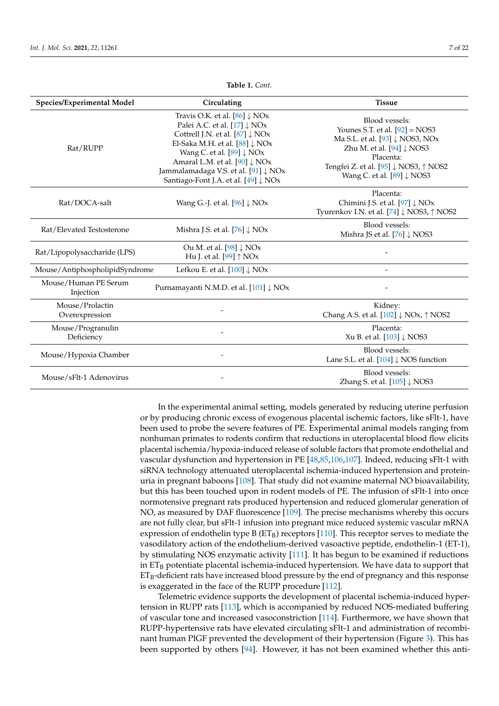| Species/Experimental Model        | Circulating                                                                                                                                                                                                                                                                                                                                       | <b>Tissue</b>                                                                                                                                                                                                                    |
|-----------------------------------|---------------------------------------------------------------------------------------------------------------------------------------------------------------------------------------------------------------------------------------------------------------------------------------------------------------------------------------------------|----------------------------------------------------------------------------------------------------------------------------------------------------------------------------------------------------------------------------------|
| Rat/RUPP                          | Travis O.K. et al. $[86]$ $\downarrow$ NOx<br>Palei A.C. et al. $[17]$ $\downarrow$ NOx<br>Cottrell J.N. et al. $[87]$ $\downarrow$ NOx<br>El-Saka M.H. et al. $[88]$ $\downarrow$ NOx<br>Wang C. et al. $[89]$ $\downarrow$ NOx<br>Amaral L.M. et al. [90] ↓ NOx<br>Jammalamadaga V.S. et al. [91] ↓ NOx<br>Santiago-Font J.A. et al. [49] ↓ NOx | Blood vessels:<br>Younes S.T. et al. $[92] = NOS3$<br>Ma S.L. et al. [93] ↓ NOS3, NOx<br>Zhu M. et al. $[94]$ $\downarrow$ NOS3<br>Placenta:<br>Tengfei Z. et al. [95] ↓ NOS3, ↑ NOS2<br>Wang C. et al. $[89]$ $\downarrow$ NOS3 |
| Rat/DOCA-salt                     | Wang G.-J. et al. $[96]$ $\downarrow$ NOx                                                                                                                                                                                                                                                                                                         | Placenta:<br>Chimini J.S. et al. [97] ↓ NOx<br>Tyurenkov I.N. et al. $[74]$ $\downarrow$ NOS3, $\uparrow$ NOS2                                                                                                                   |
| Rat/Elevated Testosterone         | Mishra J.S. et al. $[76]$ $\downarrow$ NOx                                                                                                                                                                                                                                                                                                        | Blood vessels:<br>Mishra JS et al. [76] ↓ NOS3                                                                                                                                                                                   |
| Rat/Lipopolysaccharide (LPS)      | Ou M. et al. [98] $\downarrow$ NOx<br>Hu J. et al. [99] $\uparrow$ NOx                                                                                                                                                                                                                                                                            |                                                                                                                                                                                                                                  |
| Mouse/AntiphospholipidSyndrome    | Lefkou E. et al. $[100]$ $\downarrow$ NOx                                                                                                                                                                                                                                                                                                         |                                                                                                                                                                                                                                  |
| Mouse/Human PE Serum<br>Injection | Purnamayanti N.M.D. et al. [101] ↓ NOx                                                                                                                                                                                                                                                                                                            |                                                                                                                                                                                                                                  |
| Mouse/Prolactin<br>Overexpression |                                                                                                                                                                                                                                                                                                                                                   | Kidney:<br>Chang A.S. et al. $[102]$ $\downarrow$ NOx, $\uparrow$ NOS2                                                                                                                                                           |
| Mouse/Progranulin<br>Deficiency   |                                                                                                                                                                                                                                                                                                                                                   | Placenta:<br>Xu B. et al. $[103]$ $\downarrow$ NOS3                                                                                                                                                                              |
| Mouse/Hypoxia Chamber             |                                                                                                                                                                                                                                                                                                                                                   | Blood vessels:<br>Lane S.L. et al. $[104]$ $\downarrow$ NOS function                                                                                                                                                             |
| Mouse/sFlt-1 Adenovirus           |                                                                                                                                                                                                                                                                                                                                                   | Blood vessels:<br>Zhang S. et al. $[105]$ $\downarrow$ NOS3                                                                                                                                                                      |

**Table 1.** *Cont.*

In the experimental animal setting, models generated by reducing uterine perfusion or by producing chronic excess of exogenous placental ischemic factors, like sFlt-1, have been used to probe the severe features of PE. Experimental animal models ranging from nonhuman primates to rodents confirm that reductions in uteroplacental blood flow elicits placental ischemia/hypoxia-induced release of soluble factors that promote endothelial and vascular dysfunction and hypertension in PE [\[48](#page-14-8)[,85](#page-15-22)[,106](#page-16-19)[,107\]](#page-16-20). Indeed, reducing sFlt-1 with siRNA technology attenuated uteroplacental ischemia-induced hypertension and proteinuria in pregnant baboons [\[108\]](#page-16-21). That study did not examine maternal NO bioavailability, but this has been touched upon in rodent models of PE. The infusion of sFlt-1 into once normotensive pregnant rats produced hypertension and reduced glomerular generation of NO, as measured by DAF fluorescence [\[109\]](#page-16-22). The precise mechanisms whereby this occurs are not fully clear, but sFlt-1 infusion into pregnant mice reduced systemic vascular mRNA expression of endothelin type B  $(ET_B)$  receptors [\[110\]](#page-16-23). This receptor serves to mediate the vasodilatory action of the endothelium-derived vasoactive peptide, endothelin-1 (ET-1), by stimulating NOS enzymatic activity [\[111\]](#page-17-0). It has begun to be examined if reductions in  $ET_B$  potentiate placental ischemia-induced hypertension. We have data to support that  $ET_B$ -deficient rats have increased blood pressure by the end of pregnancy and this response is exaggerated in the face of the RUPP procedure [\[112\]](#page-17-1).

Telemetric evidence supports the development of placental ischemia-induced hypertension in RUPP rats [\[113\]](#page-17-2), which is accompanied by reduced NOS-mediated buffering of vascular tone and increased vasoconstriction [\[114\]](#page-17-3). Furthermore, we have shown that RUPP-hypertensive rats have elevated circulating sFlt-1 and administration of recombinant human PlGF prevented the development of their hypertension (Figure [3\)](#page-7-0). This has been supported by others [\[94\]](#page-16-7). However, it has not been examined whether this anti-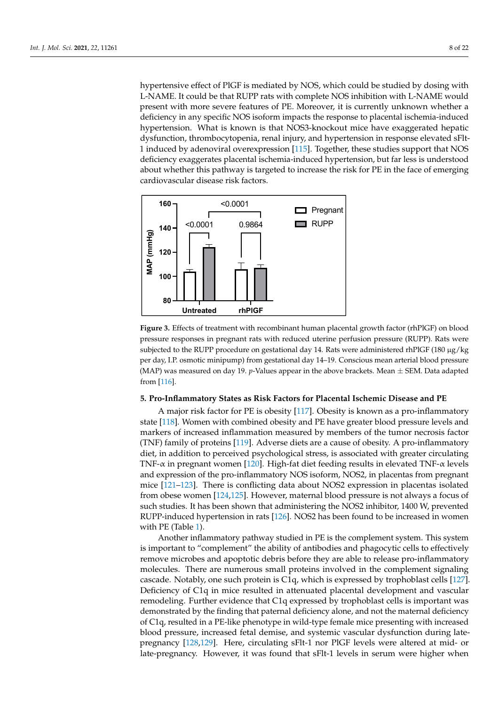hypertensive effect of PIGF is mediated by NOS, which could be studied by dosing with L-NAME. It could be that RUPP rats with complete NOS inhibition with L-NAME would NAME. It could be that RUPP rats with complete NOS inhibition with L-NAME would present with more severe features of PE. Moreover, it is currently unknown whether a present with more severe features of PE. Moreover, it is currently unknown whether a deficiency in any specific NOS isoform impacts the response to placental ischemia-induced hypertension. What is known is that NOS3-knockout mice have exaggerated hepatic dysfunction, thrombocytopenia, renal injury, and hypertension in response elevated sFlt1 induced by adenoviral overexpres[sion](#page-17-4) [115]. Together, these studies support that NOS deficiency exaggerates placental ischemia-induced hypertension, but far less is understood about whether this pathway is targeted to increase the risk for PE in the face of emerging cardiovascular disease risk factors. emerging cardiovascular disease risk factors.

<span id="page-7-0"></span>

**Figure 3.** Effects of treatment with recombinant human placental growth factor (rhPlGF) on blood **Figure 3.** Effects of treatment with recombinant human placental growth factor (rhPlGF) on blood pressure responses in pregnant rats with reduced uterine perfusion pressure (RUPP). Rats were pressure responses in pregnant rats with reduced uterine perfusion pressure (RUPP). Rats were subjected to the RUPP procedure on gestational day 14. Rats were administered rhPlGF (180 μg/kg subjected to the RUPP procedure on gestational day 14. Rats were administered rhPlGF (180 µg/kg per day, I.P. osmotic minipump) from gestational day 14–19. Conscious mean arterial blood pressure sure (MAP) was measured on day 19. *p*-Values appear in the above brackets. Mean ± SEM. Data (MAP) was measured on day 19. *p*-Values appear in the above brackets. Mean  $\pm$  SEM. Data adapted from [\[116\]](#page-17-5).

# **5. Pro-Inflammatory States as Risk Factors for Placental Ischemic Disease and PE 5. Pro-Inflammatory States as Risk Factors for Placental Ischemic Disease and PE**

A major risk factor for PE is obesity [117]. Obesity is known as a pro-inflammatory A major risk factor for PE is obesity [\[117\]](#page-17-6). Obesity is known as a pro-inflammatory state [\[118\]](#page-17-7). Women with combined obesity and PE have greater blood pressure levels and markers of increased inflammation measured by members of the tumor necrosis factor markers of increased inflammation measured by members of the tumor necrosis factor (TNF) family of proteins [119]. Adverse diets are a cause of obesity. A pro-inflammatory (TNF) family of proteins [\[119\]](#page-17-8). Adverse diets are a cause of obesity. A pro-inflammatory diet, in addition to perceived psychological stress, is associated with greater circulating diet, in addition to perceived psychological stress, is associated with greater circulating TNF-α in pregnant women [120]. High-fat diet feeding results in elevated TNF-α levels TNF-α in pregnant women [\[120\]](#page-17-9). High-fat diet feeding results in elevated TNF-α levels and expression of the pro-inflammatory NOS isoform, NOS2, in placentas from pregnant and expression of the pro-inflammatory NOS isoform, NOS2, in placentas from pregnant mice [121-[123\]](#page-17-11). There is conflicting data about NOS2 expression in placentas isolated from obese women [\[124,](#page-17-12)[125\]](#page-17-13). However, maternal blood pressure is not always a focus of such studies. It has been shown that administering the NOS2 inhibitor, 1400 W, prevented RUPP-induced hypertension in rats [\[126\]](#page-17-14). NOS2 has been found to be increased in women with PE (Table [1\)](#page-5-0).

Another inflammatory pathway studied in PE is the complement system. This system is important to "complement" the ability of antibodies and phagocytic cells to effectively remove microbes and apoptotic debris before they are able to release pro-inflammatory molecules. There are numerous small proteins involved in the complement signaling cascade. Notably, one such protein is C1q, which is expressed by trophoblast cells [\[127\]](#page-17-15). Deficiency of C1q in mice resulted in attenuated placental development and vascular remodeling. Further evidence that C1q expressed by trophoblast cells is important was demonstrated by the finding that paternal deficiency alone, and not the maternal deficiency of C1q, resulted in a PE-like phenotype in wild-type female mice presenting with increased blood pressure, increased fetal demise, and systemic vascular dysfunction during latepregnancy [\[128,](#page-17-16)[129\]](#page-17-17). Here, circulating sFlt-1 nor PlGF levels were altered at mid- or late-pregnancy. However, it was found that sFlt-1 levels in serum were higher when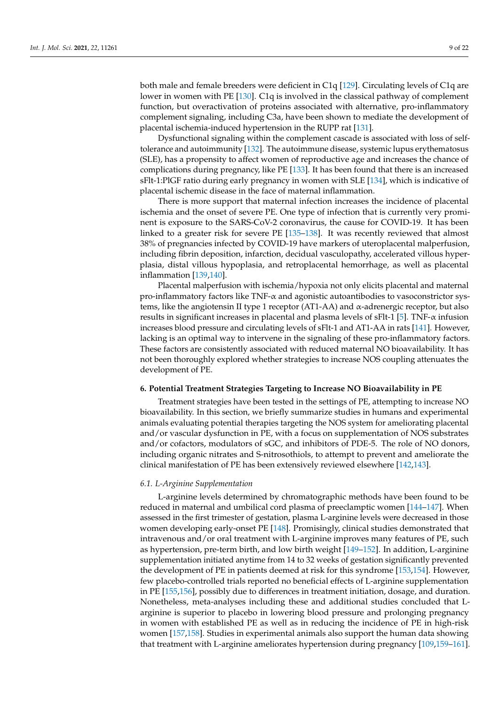both male and female breeders were deficient in C1q [\[129\]](#page-17-17). Circulating levels of C1q are lower in women with PE [\[130\]](#page-17-18). C1q is involved in the classical pathway of complement function, but overactivation of proteins associated with alternative, pro-inflammatory complement signaling, including C3a, have been shown to mediate the development of placental ischemia-induced hypertension in the RUPP rat [\[131\]](#page-17-19).

Dysfunctional signaling within the complement cascade is associated with loss of selftolerance and autoimmunity [\[132\]](#page-17-20). The autoimmune disease, systemic lupus erythematosus (SLE), has a propensity to affect women of reproductive age and increases the chance of complications during pregnancy, like PE [\[133\]](#page-17-21). It has been found that there is an increased sFlt-1:PlGF ratio during early pregnancy in women with SLE [\[134\]](#page-17-22), which is indicative of placental ischemic disease in the face of maternal inflammation.

There is more support that maternal infection increases the incidence of placental ischemia and the onset of severe PE. One type of infection that is currently very prominent is exposure to the SARS-CoV-2 coronavirus, the cause for COVID-19. It has been linked to a greater risk for severe PE [\[135](#page-17-23)[–138\]](#page-18-0). It was recently reviewed that almost 38% of pregnancies infected by COVID-19 have markers of uteroplacental malperfusion, including fibrin deposition, infarction, decidual vasculopathy, accelerated villous hyperplasia, distal villous hypoplasia, and retroplacental hemorrhage, as well as placental inflammation [\[139,](#page-18-1)[140\]](#page-18-2).

Placental malperfusion with ischemia/hypoxia not only elicits placental and maternal pro-inflammatory factors like  $TNF-\alpha$  and agonistic autoantibodies to vasoconstrictor systems, like the angiotensin II type 1 receptor (AT1-AA) and α-adrenergic receptor, but also results in significant increases in placental and plasma levels of sFIt-1 [\[5\]](#page-12-4). TNF- $\alpha$  infusion increases blood pressure and circulating levels of sFlt-1 and AT1-AA in rats [\[141\]](#page-18-3). However, lacking is an optimal way to intervene in the signaling of these pro-inflammatory factors. These factors are consistently associated with reduced maternal NO bioavailability. It has not been thoroughly explored whether strategies to increase NOS coupling attenuates the development of PE.

#### **6. Potential Treatment Strategies Targeting to Increase NO Bioavailability in PE**

Treatment strategies have been tested in the settings of PE, attempting to increase NO bioavailability. In this section, we briefly summarize studies in humans and experimental animals evaluating potential therapies targeting the NOS system for ameliorating placental and/or vascular dysfunction in PE, with a focus on supplementation of NOS substrates and/or cofactors, modulators of sGC, and inhibitors of PDE-5. The role of NO donors, including organic nitrates and S-nitrosothiols, to attempt to prevent and ameliorate the clinical manifestation of PE has been extensively reviewed elsewhere [\[142,](#page-18-4)[143\]](#page-18-5).

#### *6.1. L-Arginine Supplementation*

L-arginine levels determined by chromatographic methods have been found to be reduced in maternal and umbilical cord plasma of preeclamptic women [\[144–](#page-18-6)[147\]](#page-18-7). When assessed in the first trimester of gestation, plasma L-arginine levels were decreased in those women developing early-onset PE [\[148\]](#page-18-8). Promisingly, clinical studies demonstrated that intravenous and/or oral treatment with L-arginine improves many features of PE, such as hypertension, pre-term birth, and low birth weight [\[149](#page-18-9)[–152\]](#page-18-10). In addition, L-arginine supplementation initiated anytime from 14 to 32 weeks of gestation significantly prevented the development of PE in patients deemed at risk for this syndrome [\[153](#page-18-11)[,154\]](#page-18-12). However, few placebo-controlled trials reported no beneficial effects of L-arginine supplementation in PE [\[155](#page-18-13)[,156\]](#page-18-14), possibly due to differences in treatment initiation, dosage, and duration. Nonetheless, meta-analyses including these and additional studies concluded that Larginine is superior to placebo in lowering blood pressure and prolonging pregnancy in women with established PE as well as in reducing the incidence of PE in high-risk women [\[157](#page-18-15)[,158\]](#page-18-16). Studies in experimental animals also support the human data showing that treatment with L-arginine ameliorates hypertension during pregnancy [\[109](#page-16-22)[,159](#page-18-17)[–161\]](#page-19-0).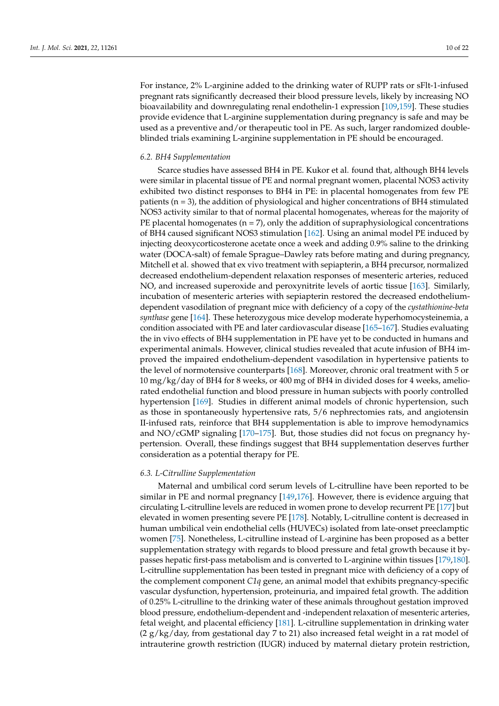For instance, 2% L-arginine added to the drinking water of RUPP rats or sFlt-1-infused pregnant rats significantly decreased their blood pressure levels, likely by increasing NO bioavailability and downregulating renal endothelin-1 expression [\[109](#page-16-22)[,159\]](#page-18-17). These studies provide evidence that L-arginine supplementation during pregnancy is safe and may be used as a preventive and/or therapeutic tool in PE. As such, larger randomized doubleblinded trials examining L-arginine supplementation in PE should be encouraged.

### *6.2. BH4 Supplementation*

Scarce studies have assessed BH4 in PE. Kukor et al. found that, although BH4 levels were similar in placental tissue of PE and normal pregnant women, placental NOS3 activity exhibited two distinct responses to BH4 in PE: in placental homogenates from few PE patients  $(n = 3)$ , the addition of physiological and higher concentrations of BH4 stimulated NOS3 activity similar to that of normal placental homogenates, whereas for the majority of PE placental homogenates ( $n = 7$ ), only the addition of supraphysiological concentrations of BH4 caused significant NOS3 stimulation [\[162\]](#page-19-1). Using an animal model PE induced by injecting deoxycorticosterone acetate once a week and adding 0.9% saline to the drinking water (DOCA-salt) of female Sprague–Dawley rats before mating and during pregnancy, Mitchell et al. showed that ex vivo treatment with sepiapterin, a BH4 precursor, normalized decreased endothelium-dependent relaxation responses of mesenteric arteries, reduced NO, and increased superoxide and peroxynitrite levels of aortic tissue [\[163\]](#page-19-2). Similarly, incubation of mesenteric arteries with sepiapterin restored the decreased endotheliumdependent vasodilation of pregnant mice with deficiency of a copy of the *cystathionine-beta synthase* gene [\[164\]](#page-19-3). These heterozygous mice develop moderate hyperhomocysteinemia, a condition associated with PE and later cardiovascular disease [\[165–](#page-19-4)[167\]](#page-19-5). Studies evaluating the in vivo effects of BH4 supplementation in PE have yet to be conducted in humans and experimental animals. However, clinical studies revealed that acute infusion of BH4 improved the impaired endothelium-dependent vasodilation in hypertensive patients to the level of normotensive counterparts [\[168\]](#page-19-6). Moreover, chronic oral treatment with 5 or 10 mg/kg/day of BH4 for 8 weeks, or 400 mg of BH4 in divided doses for 4 weeks, ameliorated endothelial function and blood pressure in human subjects with poorly controlled hypertension [\[169\]](#page-19-7). Studies in different animal models of chronic hypertension, such as those in spontaneously hypertensive rats, 5/6 nephrectomies rats, and angiotensin II-infused rats, reinforce that BH4 supplementation is able to improve hemodynamics and NO/cGMP signaling [\[170–](#page-19-8)[175\]](#page-19-9). But, those studies did not focus on pregnancy hypertension. Overall, these findings suggest that BH4 supplementation deserves further consideration as a potential therapy for PE.

# *6.3. L-Citrulline Supplementation*

Maternal and umbilical cord serum levels of L-citrulline have been reported to be similar in PE and normal pregnancy [\[149,](#page-18-9)[176\]](#page-19-10). However, there is evidence arguing that circulating L-citrulline levels are reduced in women prone to develop recurrent PE [\[177\]](#page-19-11) but elevated in women presenting severe PE [\[178\]](#page-19-12). Notably, L-citrulline content is decreased in human umbilical vein endothelial cells (HUVECs) isolated from late-onset preeclamptic women [\[75\]](#page-15-12). Nonetheless, L-citrulline instead of L-arginine has been proposed as a better supplementation strategy with regards to blood pressure and fetal growth because it bypasses hepatic first-pass metabolism and is converted to L-arginine within tissues [\[179](#page-19-13)[,180\]](#page-19-14). L-citrulline supplementation has been tested in pregnant mice with deficiency of a copy of the complement component *C1q* gene, an animal model that exhibits pregnancy-specific vascular dysfunction, hypertension, proteinuria, and impaired fetal growth. The addition of 0.25% L-citrulline to the drinking water of these animals throughout gestation improved blood pressure, endothelium-dependent and -independent relaxation of mesenteric arteries, fetal weight, and placental efficiency [\[181\]](#page-19-15). L-citrulline supplementation in drinking water  $(2 g/kg/day,$  from gestational day 7 to 21) also increased fetal weight in a rat model of intrauterine growth restriction (IUGR) induced by maternal dietary protein restriction,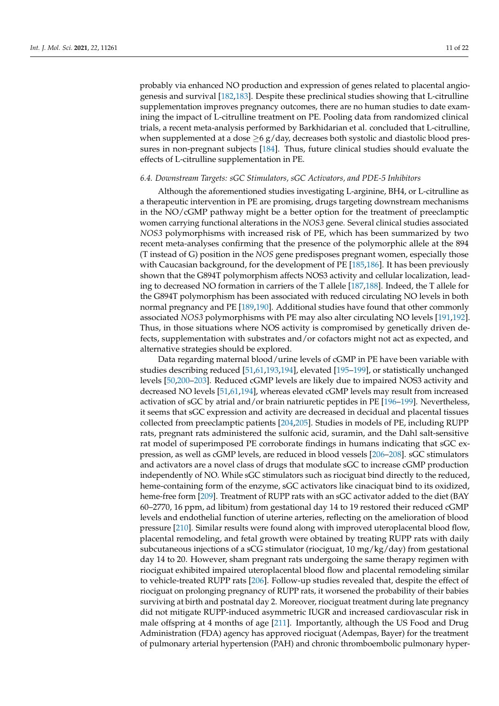probably via enhanced NO production and expression of genes related to placental angiogenesis and survival [\[182,](#page-19-16)[183\]](#page-19-17). Despite these preclinical studies showing that L-citrulline supplementation improves pregnancy outcomes, there are no human studies to date examining the impact of L-citrulline treatment on PE. Pooling data from randomized clinical trials, a recent meta-analysis performed by Barkhidarian et al. concluded that L-citrulline, when supplemented at a dose  $>6$  g/day, decreases both systolic and diastolic blood pressures in non-pregnant subjects [\[184\]](#page-19-18). Thus, future clinical studies should evaluate the effects of L-citrulline supplementation in PE.

# *6.4. Downstream Targets: sGC Stimulators, sGC Activators, and PDE-5 Inhibitors*

Although the aforementioned studies investigating L-arginine, BH4, or L-citrulline as a therapeutic intervention in PE are promising, drugs targeting downstream mechanisms in the NO/cGMP pathway might be a better option for the treatment of preeclamptic women carrying functional alterations in the *NOS3* gene. Several clinical studies associated *NOS3* polymorphisms with increased risk of PE, which has been summarized by two recent meta-analyses confirming that the presence of the polymorphic allele at the 894 (T instead of G) position in the *NOS* gene predisposes pregnant women, especially those with Caucasian background, for the development of PE [\[185](#page-20-0)[,186\]](#page-20-1). It has been previously shown that the G894T polymorphism affects NOS3 activity and cellular localization, leading to decreased NO formation in carriers of the T allele [\[187](#page-20-2)[,188\]](#page-20-3). Indeed, the T allele for the G894T polymorphism has been associated with reduced circulating NO levels in both normal pregnancy and PE [\[189,](#page-20-4)[190\]](#page-20-5). Additional studies have found that other commonly associated *NOS3* polymorphisms with PE may also alter circulating NO levels [\[191,](#page-20-6)[192\]](#page-20-7). Thus, in those situations where NOS activity is compromised by genetically driven defects, supplementation with substrates and/or cofactors might not act as expected, and alternative strategies should be explored.

Data regarding maternal blood/urine levels of cGMP in PE have been variable with studies describing reduced [\[51,](#page-14-11)[61,](#page-14-21)[193,](#page-20-8)[194\]](#page-20-9), elevated [\[195–](#page-20-10)[199\]](#page-20-11), or statistically unchanged levels [\[50,](#page-14-10)[200–](#page-20-12)[203\]](#page-20-13). Reduced cGMP levels are likely due to impaired NOS3 activity and decreased NO levels [\[51](#page-14-11)[,61](#page-14-21)[,194\]](#page-20-9), whereas elevated cGMP levels may result from increased activation of sGC by atrial and/or brain natriuretic peptides in PE [\[196](#page-20-14)[–199\]](#page-20-11). Nevertheless, it seems that sGC expression and activity are decreased in decidual and placental tissues collected from preeclamptic patients [\[204,](#page-20-15)[205\]](#page-20-16). Studies in models of PE, including RUPP rats, pregnant rats administered the sulfonic acid, suramin, and the Dahl salt-sensitive rat model of superimposed PE corroborate findings in humans indicating that sGC expression, as well as cGMP levels, are reduced in blood vessels [\[206](#page-20-17)[–208\]](#page-21-0). sGC stimulators and activators are a novel class of drugs that modulate sGC to increase cGMP production independently of NO. While sGC stimulators such as riociguat bind directly to the reduced, heme-containing form of the enzyme, sGC activators like cinaciquat bind to its oxidized, heme-free form [\[209\]](#page-21-1). Treatment of RUPP rats with an sGC activator added to the diet (BAY 60–2770, 16 ppm, ad libitum) from gestational day 14 to 19 restored their reduced cGMP levels and endothelial function of uterine arteries, reflecting on the amelioration of blood pressure [\[210\]](#page-21-2). Similar results were found along with improved uteroplacental blood flow, placental remodeling, and fetal growth were obtained by treating RUPP rats with daily subcutaneous injections of a sCG stimulator (riociguat, 10 mg/kg/day) from gestational day 14 to 20. However, sham pregnant rats undergoing the same therapy regimen with riociguat exhibited impaired uteroplacental blood flow and placental remodeling similar to vehicle-treated RUPP rats [\[206\]](#page-20-17). Follow-up studies revealed that, despite the effect of riociguat on prolonging pregnancy of RUPP rats, it worsened the probability of their babies surviving at birth and postnatal day 2. Moreover, riociguat treatment during late pregnancy did not mitigate RUPP-induced asymmetric IUGR and increased cardiovascular risk in male offspring at 4 months of age [\[211\]](#page-21-3). Importantly, although the US Food and Drug Administration (FDA) agency has approved riociguat (Adempas, Bayer) for the treatment of pulmonary arterial hypertension (PAH) and chronic thromboembolic pulmonary hyper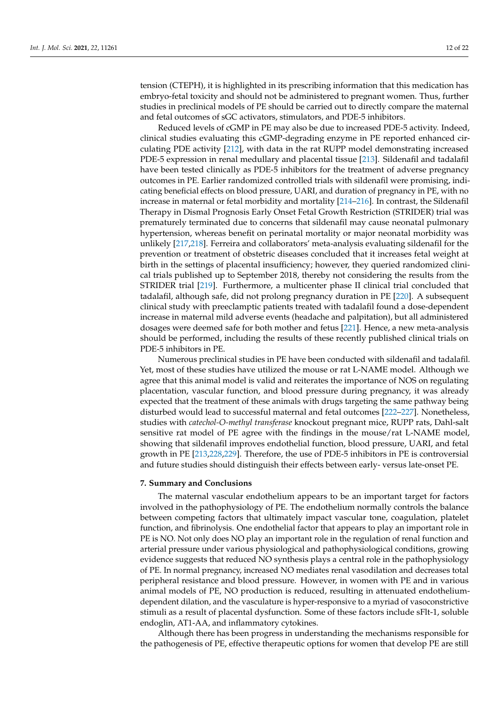tension (CTEPH), it is highlighted in its prescribing information that this medication has embryo-fetal toxicity and should not be administered to pregnant women. Thus, further studies in preclinical models of PE should be carried out to directly compare the maternal and fetal outcomes of sGC activators, stimulators, and PDE-5 inhibitors.

Reduced levels of cGMP in PE may also be due to increased PDE-5 activity. Indeed, clinical studies evaluating this cGMP-degrading enzyme in PE reported enhanced circulating PDE activity [\[212\]](#page-21-4), with data in the rat RUPP model demonstrating increased PDE-5 expression in renal medullary and placental tissue [\[213\]](#page-21-5). Sildenafil and tadalafil have been tested clinically as PDE-5 inhibitors for the treatment of adverse pregnancy outcomes in PE. Earlier randomized controlled trials with sildenafil were promising, indicating beneficial effects on blood pressure, UARI, and duration of pregnancy in PE, with no increase in maternal or fetal morbidity and mortality [\[214](#page-21-6)[–216\]](#page-21-7). In contrast, the Sildenafil Therapy in Dismal Prognosis Early Onset Fetal Growth Restriction (STRIDER) trial was prematurely terminated due to concerns that sildenafil may cause neonatal pulmonary hypertension, whereas benefit on perinatal mortality or major neonatal morbidity was unlikely [\[217](#page-21-8)[,218\]](#page-21-9). Ferreira and collaborators' meta-analysis evaluating sildenafil for the prevention or treatment of obstetric diseases concluded that it increases fetal weight at birth in the settings of placental insufficiency; however, they queried randomized clinical trials published up to September 2018, thereby not considering the results from the STRIDER trial [\[219\]](#page-21-10). Furthermore, a multicenter phase II clinical trial concluded that tadalafil, although safe, did not prolong pregnancy duration in PE [\[220\]](#page-21-11). A subsequent clinical study with preeclamptic patients treated with tadalafil found a dose-dependent increase in maternal mild adverse events (headache and palpitation), but all administered dosages were deemed safe for both mother and fetus [\[221\]](#page-21-12). Hence, a new meta-analysis should be performed, including the results of these recently published clinical trials on PDE-5 inhibitors in PE.

Numerous preclinical studies in PE have been conducted with sildenafil and tadalafil. Yet, most of these studies have utilized the mouse or rat L-NAME model. Although we agree that this animal model is valid and reiterates the importance of NOS on regulating placentation, vascular function, and blood pressure during pregnancy, it was already expected that the treatment of these animals with drugs targeting the same pathway being disturbed would lead to successful maternal and fetal outcomes [\[222–](#page-21-13)[227\]](#page-21-14). Nonetheless, studies with *catechol-O-methyl transferase* knockout pregnant mice, RUPP rats, Dahl-salt sensitive rat model of PE agree with the findings in the mouse/rat L-NAME model, showing that sildenafil improves endothelial function, blood pressure, UARI, and fetal growth in PE [\[213](#page-21-5)[,228,](#page-21-15)[229\]](#page-21-16). Therefore, the use of PDE-5 inhibitors in PE is controversial and future studies should distinguish their effects between early- versus late-onset PE.

#### **7. Summary and Conclusions**

The maternal vascular endothelium appears to be an important target for factors involved in the pathophysiology of PE. The endothelium normally controls the balance between competing factors that ultimately impact vascular tone, coagulation, platelet function, and fibrinolysis. One endothelial factor that appears to play an important role in PE is NO. Not only does NO play an important role in the regulation of renal function and arterial pressure under various physiological and pathophysiological conditions, growing evidence suggests that reduced NO synthesis plays a central role in the pathophysiology of PE. In normal pregnancy, increased NO mediates renal vasodilation and decreases total peripheral resistance and blood pressure. However, in women with PE and in various animal models of PE, NO production is reduced, resulting in attenuated endotheliumdependent dilation, and the vasculature is hyper-responsive to a myriad of vasoconstrictive stimuli as a result of placental dysfunction. Some of these factors include sFlt-1, soluble endoglin, AT1-AA, and inflammatory cytokines.

Although there has been progress in understanding the mechanisms responsible for the pathogenesis of PE, effective therapeutic options for women that develop PE are still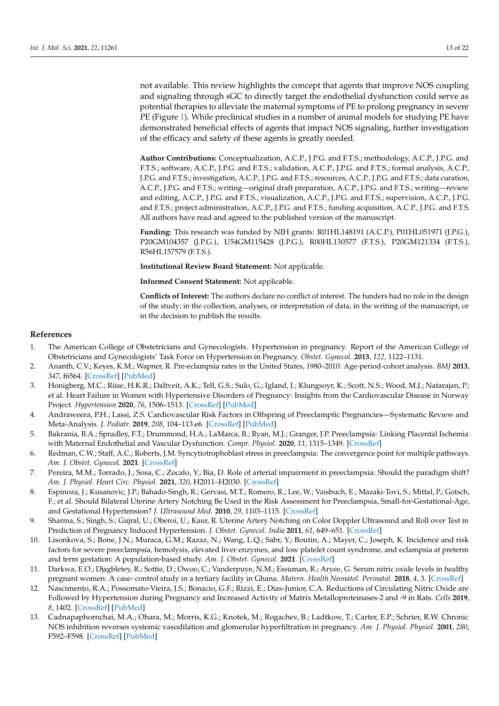not available. This review highlights the concept that agents that improve NOS coupling and signaling through sGC to directly target the endothelial dysfunction could serve as potential therapies to alleviate the maternal symptoms of PE to prolong pregnancy in severe PE (Figure [1\)](#page-2-0). While preclinical studies in a number of animal models for studying PE have demonstrated beneficial effects of agents that impact NOS signaling, further investigation of the efficacy and safety of these agents is greatly needed.

**Author Contributions:** Conceptualization, A.C.P., J.P.G. and F.T.S.; methodology, A.C.P., J.P.G. and F.T.S.; software, A.C.P., J.P.G. and F.T.S.; validation, A.C.P., J.P.G. and F.T.S.; formal analysis, A.C.P., J.P.G. and F.T.S.; investigation, A.C.P., J.P.G. and F.T.S.; resources, A.C.P., J.P.G. and F.T.S.; data curation, A.C.P., J.P.G. and F.T.S.; writing—original draft preparation, A.C.P., J.P.G. and F.T.S.; writing—review and editing, A.C.P., J.P.G. and F.T.S.; visualization, A.C.P., J.P.G. and F.T.S.; supervision, A.C.P., J.P.G. and F.T.S.; project administration, A.C.P., J.P.G. and F.T.S.; funding acquisition, A.C.P., J.P.G. and F.T.S. All authors have read and agreed to the published version of the manuscript.

**Funding:** This research was funded by NIH grants: R01HL148191 (A.C.P.), P01HL051971 (J.P.G.), P20GM104357 (J.P.G.), U54GM115428 (J.P.G.), R00HL130577 (F.T.S.), P20GM121334 (F.T.S.), R56HL157579 (F.T.S.).

**Institutional Review Board Statement:** Not applicable.

**Informed Consent Statement:** Not applicable.

**Conflicts of Interest:** The authors declare no conflict of interest. The funders had no role in the design of the study; in the collection, analyses, or interpretation of data; in the writing of the manuscript, or in the decision to publish the results.

#### **References**

- <span id="page-12-0"></span>1. The American College of Obstetricians and Gynecologists. Hypertension in pregnancy. Report of the American College of Obstetricians and Gynecologists' Task Force on Hypertension in Pregnancy. *Obstet. Gynecol.* **2013**, *122*, 1122–1131.
- <span id="page-12-1"></span>2. Ananth, C.V.; Keyes, K.M.; Wapner, R. Pre-eclampsia rates in the United States, 1980–2010: Age-period-cohort analysis. *BMJ* **2013**, *347*, f6564. [\[CrossRef\]](http://doi.org/10.1136/bmj.f6564) [\[PubMed\]](http://www.ncbi.nlm.nih.gov/pubmed/24201165)
- <span id="page-12-2"></span>3. Honigberg, M.C.; Riise, H.K.R.; Daltveit, A.K.; Tell, G.S.; Sulo, G.; Igland, J.; Klungsoyr, K.; Scott, N.S.; Wood, M.J.; Natarajan, P.; et al. Heart Failure in Women with Hypertensive Disorders of Pregnancy: Insights from the Cardiovascular Disease in Norway Project. *Hypertension* **2020**, *76*, 1506–1513. [\[CrossRef\]](http://doi.org/10.1161/HYPERTENSIONAHA.120.15654) [\[PubMed\]](http://www.ncbi.nlm.nih.gov/pubmed/32829667)
- <span id="page-12-3"></span>4. Andraweera, P.H.; Lassi, Z.S. Cardiovascular Risk Factors in Offspring of Preeclamptic Pregnancies—Systematic Review and Meta-Analysis. *J. Pediatr.* **2019**, *208*, 104–113.e6. [\[CrossRef\]](http://doi.org/10.1016/j.jpeds.2018.12.008) [\[PubMed\]](http://www.ncbi.nlm.nih.gov/pubmed/30876753)
- <span id="page-12-4"></span>5. Bakrania, B.A.; Spradley, F.T.; Drummond, H.A.; LaMarca, B.; Ryan, M.J.; Granger, J.P. Preeclampsia: Linking Placental Ischemia with Maternal Endothelial and Vascular Dysfunction. *Compr. Physiol.* **2020**, *11*, 1315–1349. [\[CrossRef\]](http://doi.org/10.1002/cphy.c200008)
- <span id="page-12-5"></span>6. Redman, C.W.; Staff, A.C.; Roberts, J.M. Syncytiotrophoblast stress in preeclampsia: The convergence point for multiple pathways. *Am. J. Obstet. Gynecol.* **2021**. [\[CrossRef\]](http://doi.org/10.1016/j.ajog.2020.09.047)
- <span id="page-12-6"></span>7. Pereira, M.M.; Torrado, J.; Sosa, C.; Zocalo, Y.; Bia, D. Role of arterial impairment in preeclampsia: Should the paradigm shift? *Am. J. Physiol. Heart Circ. Physiol.* **2021**, *320*, H2011–H2030. [\[CrossRef\]](http://doi.org/10.1152/ajpheart.01005.2020)
- <span id="page-12-7"></span>8. Espinoza, J.; Kusanovic, J.P.; Bahado-Singh, R.; Gervasi, M.T.; Romero, R.; Lee, W.; Vaisbuch, E.; Mazaki-Tovi, S.; Mittal, P.; Gotsch, F.; et al. Should Bilateral Uterine Artery Notching Be Used in the Risk Assessment for Preeclampsia, Small-for-Gestational-Age, and Gestational Hypertension? *J. Ultrasound Med.* **2010**, *29*, 1103–1115. [\[CrossRef\]](http://doi.org/10.7863/jum.2010.29.7.1103)
- <span id="page-12-8"></span>9. Sharma, S.; Singh, S.; Gujral, U.; Oberoi, U.; Kaur, R. Uterine Artery Notching on Color Doppler Ultrasound and Roll over Test in Prediction of Pregnancy Induced Hypertension. *J. Obstet. Gynecol. India* **2011**, *61*, 649–651. [\[CrossRef\]](http://doi.org/10.1007/s13224-011-0110-z)
- <span id="page-12-9"></span>10. Lisonkova, S.; Bone, J.N.; Muraca, G.M.; Razaz, N.; Wang, L.Q.; Sabr, Y.; Boutin, A.; Mayer, C.; Joseph, K. Incidence and risk factors for severe preeclampsia, hemolysis, elevated liver enzymes, and low platelet count syndrome, and eclampsia at preterm and term gestation: A population-based study. *Am. J. Obstet. Gynecol.* **2021**. [\[CrossRef\]](http://doi.org/10.1016/j.ajog.2021.04.261)
- <span id="page-12-10"></span>11. Darkwa, E.O.; Djagbletey, R.; Sottie, D.; Owoo, C.; Vanderpuye, N.M.; Essuman, R.; Aryee, G. Serum nitric oxide levels in healthy pregnant women: A case- control study in a tertiary facility in Ghana. *Matern. Health Neonatol. Perinatol.* **2018**, *4*, 3. [\[CrossRef\]](http://doi.org/10.1186/s40748-017-0072-y)
- 12. Nascimento, R.A.; Possomato-Vieira, J.S.; Bonacio, G.F.; Rizzi, E.; Dias-Junior, C.A. Reductions of Circulating Nitric Oxide are Followed by Hypertension during Pregnancy and Increased Activity of Matrix Metalloproteinases-2 and -9 in Rats. *Cells* **2019**, *8*, 1402. [\[CrossRef\]](http://doi.org/10.3390/cells8111402) [\[PubMed\]](http://www.ncbi.nlm.nih.gov/pubmed/31703340)
- <span id="page-12-11"></span>13. Cadnapaphornchai, M.A.; Ohara, M.; Morris, K.G.; Knotek, M.; Rogachev, B.; Ladtkow, T.; Carter, E.P.; Schrier, R.W. Chronic NOS inhibition reverses systemic vasodilation and glomerular hyperfiltration in pregnancy. *Am. J. Physiol. Physiol.* **2001**, *280*, F592–F598. [\[CrossRef\]](http://doi.org/10.1152/ajprenal.2001.280.4.F592) [\[PubMed\]](http://www.ncbi.nlm.nih.gov/pubmed/11249850)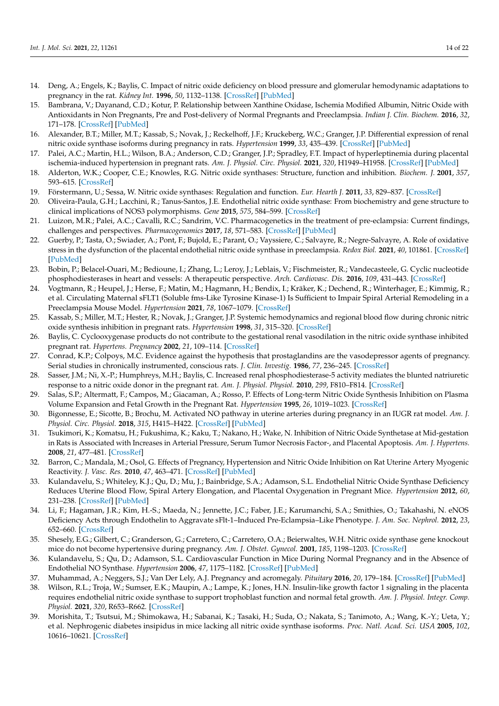- <span id="page-13-0"></span>14. Deng, A.; Engels, K.; Baylis, C. Impact of nitric oxide deficiency on blood pressure and glomerular hemodynamic adaptations to pregnancy in the rat. *Kidney Int.* **1996**, *50*, 1132–1138. [\[CrossRef\]](http://doi.org/10.1038/ki.1996.420) [\[PubMed\]](http://www.ncbi.nlm.nih.gov/pubmed/8887270)
- <span id="page-13-1"></span>15. Bambrana, V.; Dayanand, C.D.; Kotur, P. Relationship between Xanthine Oxidase, Ischemia Modified Albumin, Nitric Oxide with Antioxidants in Non Pregnants, Pre and Post-delivery of Normal Pregnants and Preeclampsia. *Indian J. Clin. Biochem.* **2016**, *32*, 171–178. [\[CrossRef\]](http://doi.org/10.1007/s12291-016-0599-0) [\[PubMed\]](http://www.ncbi.nlm.nih.gov/pubmed/28428691)
- <span id="page-13-2"></span>16. Alexander, B.T.; Miller, M.T.; Kassab, S.; Novak, J.; Reckelhoff, J.F.; Kruckeberg, W.C.; Granger, J.P. Differential expression of renal nitric oxide synthase isoforms during pregnancy in rats. *Hypertension* **1999**, *33*, 435–439. [\[CrossRef\]](http://doi.org/10.1161/01.HYP.33.1.435) [\[PubMed\]](http://www.ncbi.nlm.nih.gov/pubmed/9931143)
- <span id="page-13-3"></span>17. Palei, A.C.; Martin, H.L.; Wilson, B.A.; Anderson, C.D.; Granger, J.P.; Spradley, F.T. Impact of hyperleptinemia during placental ischemia-induced hypertension in pregnant rats. *Am. J. Physiol. Circ. Physiol.* **2021**, *320*, H1949–H1958. [\[CrossRef\]](http://doi.org/10.1152/ajpheart.00724.2019) [\[PubMed\]](http://www.ncbi.nlm.nih.gov/pubmed/33710923)
- <span id="page-13-4"></span>18. Alderton, W.K.; Cooper, C.E.; Knowles, R.G. Nitric oxide synthases: Structure, function and inhibition. *Biochem. J.* **2001**, *357*, 593–615. [\[CrossRef\]](http://doi.org/10.1042/bj3570593)
- 19. Förstermann, U.; Sessa, W. Nitric oxide synthases: Regulation and function. *Eur. Hearth J.* **2011**, *33*, 829–837. [\[CrossRef\]](http://doi.org/10.1093/eurheartj/ehr304)
- <span id="page-13-5"></span>20. Oliveira-Paula, G.H.; Lacchini, R.; Tanus-Santos, J.E. Endothelial nitric oxide synthase: From biochemistry and gene structure to clinical implications of NOS3 polymorphisms. *Gene* **2015**, *575*, 584–599. [\[CrossRef\]](http://doi.org/10.1016/j.gene.2015.09.061)
- <span id="page-13-6"></span>21. Luizon, M.R.; Palei, A.C.; Cavalli, R.C.; Sandrim, V.C. Pharmacogenetics in the treatment of pre-eclampsia: Current findings, challenges and perspectives. *Pharmacogenomics* **2017**, *18*, 571–583. [\[CrossRef\]](http://doi.org/10.2217/pgs-2016-0198) [\[PubMed\]](http://www.ncbi.nlm.nih.gov/pubmed/28358601)
- <span id="page-13-7"></span>22. Guerby, P.; Tasta, O.; Swiader, A.; Pont, F.; Bujold, E.; Parant, O.; Vayssiere, C.; Salvayre, R.; Negre-Salvayre, A. Role of oxidative stress in the dysfunction of the placental endothelial nitric oxide synthase in preeclampsia. *Redox Biol.* **2021**, *40*, 101861. [\[CrossRef\]](http://doi.org/10.1016/j.redox.2021.101861) [\[PubMed\]](http://www.ncbi.nlm.nih.gov/pubmed/33548859)
- <span id="page-13-8"></span>23. Bobin, P.; Belacel-Ouari, M.; Bedioune, I.; Zhang, L.; Leroy, J.; Leblais, V.; Fischmeister, R.; Vandecasteele, G. Cyclic nucleotide phosphodiesterases in heart and vessels: A therapeutic perspective. *Arch. Cardiovasc. Dis.* **2016**, *109*, 431–443. [\[CrossRef\]](http://doi.org/10.1016/j.acvd.2016.02.004)
- <span id="page-13-9"></span>24. Vogtmann, R.; Heupel, J.; Herse, F.; Matin, M.; Hagmann, H.; Bendix, I.; Kräker, K.; Dechend, R.; Winterhager, E.; Kimmig, R.; et al. Circulating Maternal sFLT1 (Soluble fms-Like Tyrosine Kinase-1) Is Sufficient to Impair Spiral Arterial Remodeling in a Preeclampsia Mouse Model. *Hypertension* **2021**, *78*, 1067–1079. [\[CrossRef\]](http://doi.org/10.1161/HYPERTENSIONAHA.121.17567)
- <span id="page-13-10"></span>25. Kassab, S.; Miller, M.T.; Hester, R.; Novak, J.; Granger, J.P. Systemic hemodynamics and regional blood flow during chronic nitric oxide synthesis inhibition in pregnant rats. *Hypertension* **1998**, *31*, 315–320. [\[CrossRef\]](http://doi.org/10.1161/01.HYP.31.1.315)
- <span id="page-13-11"></span>26. Baylis, C. Cyclooxygenase products do not contribute to the gestational renal vasodilation in the nitric oxide synthase inhibited pregnant rat. *Hypertens. Pregnancy* **2002**, *21*, 109–114. [\[CrossRef\]](http://doi.org/10.1081/PRG-120004028)
- <span id="page-13-12"></span>27. Conrad, K.P.; Colpoys, M.C. Evidence against the hypothesis that prostaglandins are the vasodepressor agents of pregnancy. Serial studies in chronically instrumented, conscious rats. *J. Clin. Investig.* **1986**, *77*, 236–245. [\[CrossRef\]](http://doi.org/10.1172/JCI112282)
- <span id="page-13-13"></span>28. Sasser, J.M.; Ni, X.-P.; Humphreys, M.H.; Baylis, C. Increased renal phosphodiesterase-5 activity mediates the blunted natriuretic response to a nitric oxide donor in the pregnant rat. *Am. J. Physiol. Physiol.* **2010**, *299*, F810–F814. [\[CrossRef\]](http://doi.org/10.1152/ajprenal.00117.2010)
- <span id="page-13-14"></span>29. Salas, S.P.; Altermatt, F.; Campos, M.; Giacaman, A.; Rosso, P. Effects of Long-term Nitric Oxide Synthesis Inhibition on Plasma Volume Expansion and Fetal Growth in the Pregnant Rat. *Hypertension* **1995**, *26*, 1019–1023. [\[CrossRef\]](http://doi.org/10.1161/01.HYP.26.6.1019)
- <span id="page-13-15"></span>30. Bigonnesse, E.; Sicotte, B.; Brochu, M. Activated NO pathway in uterine arteries during pregnancy in an IUGR rat model. *Am. J. Physiol. Circ. Physiol.* **2018**, *315*, H415–H422. [\[CrossRef\]](http://doi.org/10.1152/ajpheart.00457.2017) [\[PubMed\]](http://www.ncbi.nlm.nih.gov/pubmed/29727218)
- <span id="page-13-16"></span>31. Tsukimori, K.; Komatsu, H.; Fukushima, K.; Kaku, T.; Nakano, H.; Wake, N. Inhibition of Nitric Oxide Synthetase at Mid-gestation in Rats is Associated with Increases in Arterial Pressure, Serum Tumor Necrosis Factor-, and Placental Apoptosis. *Am. J. Hypertens.* **2008**, *21*, 477–481. [\[CrossRef\]](http://doi.org/10.1038/ajh.2007.80)
- <span id="page-13-17"></span>32. Barron, C.; Mandala, M.; Osol, G. Effects of Pregnancy, Hypertension and Nitric Oxide Inhibition on Rat Uterine Artery Myogenic Reactivity. *J. Vasc. Res.* **2010**, *47*, 463–471. [\[CrossRef\]](http://doi.org/10.1159/000313874) [\[PubMed\]](http://www.ncbi.nlm.nih.gov/pubmed/20431295)
- <span id="page-13-18"></span>33. Kulandavelu, S.; Whiteley, K.J.; Qu, D.; Mu, J.; Bainbridge, S.A.; Adamson, S.L. Endothelial Nitric Oxide Synthase Deficiency Reduces Uterine Blood Flow, Spiral Artery Elongation, and Placental Oxygenation in Pregnant Mice. *Hypertension* **2012**, *60*, 231–238. [\[CrossRef\]](http://doi.org/10.1161/HYPERTENSIONAHA.111.187559) [\[PubMed\]](http://www.ncbi.nlm.nih.gov/pubmed/22615111)
- <span id="page-13-19"></span>34. Li, F.; Hagaman, J.R.; Kim, H.-S.; Maeda, N.; Jennette, J.C.; Faber, J.E.; Karumanchi, S.A.; Smithies, O.; Takahashi, N. eNOS Deficiency Acts through Endothelin to Aggravate sFlt-1–Induced Pre-Eclampsia–Like Phenotype. *J. Am. Soc. Nephrol.* **2012**, *23*, 652–660. [\[CrossRef\]](http://doi.org/10.1681/ASN.2011040369)
- <span id="page-13-20"></span>35. Shesely, E.G.; Gilbert, C.; Granderson, G.; Carretero, C.; Carretero, O.A.; Beierwaltes, W.H. Nitric oxide synthase gene knockout mice do not become hypertensive during pregnancy. *Am. J. Obstet. Gynecol.* **2001**, *185*, 1198–1203. [\[CrossRef\]](http://doi.org/10.1067/mob.2001.118142)
- <span id="page-13-21"></span>36. Kulandavelu, S.; Qu, D.; Adamson, S.L. Cardiovascular Function in Mice During Normal Pregnancy and in the Absence of Endothelial NO Synthase. *Hypertension* **2006**, *47*, 1175–1182. [\[CrossRef\]](http://doi.org/10.1161/01.HYP.0000218440.71846.db) [\[PubMed\]](http://www.ncbi.nlm.nih.gov/pubmed/16636199)
- <span id="page-13-22"></span>37. Muhammad, A.; Neggers, S.J.; Van Der Lely, A.J. Pregnancy and acromegaly. *Pituitary* **2016**, *20*, 179–184. [\[CrossRef\]](http://doi.org/10.1007/s11102-016-0740-3) [\[PubMed\]](http://www.ncbi.nlm.nih.gov/pubmed/27568329)
- <span id="page-13-23"></span>38. Wilson, R.L.; Troja, W.; Sumser, E.K.; Maupin, A.; Lampe, K.; Jones, H.N. Insulin-like growth factor 1 signaling in the placenta requires endothelial nitric oxide synthase to support trophoblast function and normal fetal growth. *Am. J. Physiol. Integr. Comp. Physiol.* **2021**, *320*, R653–R662. [\[CrossRef\]](http://doi.org/10.1152/ajpregu.00250.2020)
- <span id="page-13-24"></span>39. Morishita, T.; Tsutsui, M.; Shimokawa, H.; Sabanai, K.; Tasaki, H.; Suda, O.; Nakata, S.; Tanimoto, A.; Wang, K.-Y.; Ueta, Y.; et al. Nephrogenic diabetes insipidus in mice lacking all nitric oxide synthase isoforms. *Proc. Natl. Acad. Sci. USA* **2005**, *102*, 10616–10621. [\[CrossRef\]](http://doi.org/10.1073/pnas.0502236102)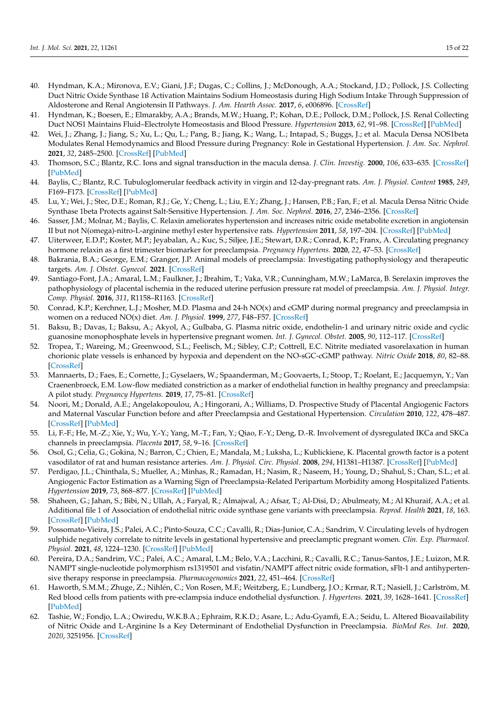- <span id="page-14-0"></span>40. Hyndman, K.A.; Mironova, E.V.; Giani, J.F.; Dugas, C.; Collins, J.; McDonough, A.A.; Stockand, J.D.; Pollock, J.S. Collecting Duct Nitric Oxide Synthase 1ß Activation Maintains Sodium Homeostasis during High Sodium Intake Through Suppression of Aldosterone and Renal Angiotensin II Pathways. *J. Am. Hearth Assoc.* **2017**, *6*, e006896. [\[CrossRef\]](http://doi.org/10.1161/JAHA.117.006896)
- <span id="page-14-1"></span>41. Hyndman, K.; Boesen, E.; Elmarakby, A.A.; Brands, M.W.; Huang, P.; Kohan, D.E.; Pollock, D.M.; Pollock, J.S. Renal Collecting Duct NOS1 Maintains Fluid–Electrolyte Homeostasis and Blood Pressure. *Hypertension* **2013**, *62*, 91–98. [\[CrossRef\]](http://doi.org/10.1161/HYPERTENSIONAHA.113.01291) [\[PubMed\]](http://www.ncbi.nlm.nih.gov/pubmed/23608660)
- <span id="page-14-2"></span>42. Wei, J.; Zhang, J.; Jiang, S.; Xu, L.; Qu, L.; Pang, B.; Jiang, K.; Wang, L.; Intapad, S.; Buggs, J.; et al. Macula Densa NOS1beta Modulates Renal Hemodynamics and Blood Pressure during Pregnancy: Role in Gestational Hypertension. *J. Am. Soc. Nephrol.* **2021**, *32*, 2485–2500. [\[CrossRef\]](http://doi.org/10.1681/ASN.2020070969) [\[PubMed\]](http://www.ncbi.nlm.nih.gov/pubmed/34127535)
- <span id="page-14-3"></span>43. Thomson, S.C.; Blantz, R.C. Ions and signal transduction in the macula densa. *J. Clin. Investig.* **2000**, *106*, 633–635. [\[CrossRef\]](http://doi.org/10.1172/JCI10930) [\[PubMed\]](http://www.ncbi.nlm.nih.gov/pubmed/10974015)
- <span id="page-14-4"></span>44. Baylis, C.; Blantz, R.C. Tubuloglomerular feedback activity in virgin and 12-day-pregnant rats. *Am. J. Physiol. Content* **1985**, *249*, F169–F173. [\[CrossRef\]](http://doi.org/10.1152/ajprenal.1985.249.1.F169) [\[PubMed\]](http://www.ncbi.nlm.nih.gov/pubmed/4014472)
- <span id="page-14-5"></span>45. Lu, Y.; Wei, J.; Stec, D.E.; Roman, R.J.; Ge, Y.; Cheng, L.; Liu, E.Y.; Zhang, J.; Hansen, P.B.; Fan, F.; et al. Macula Densa Nitric Oxide Synthase 1beta Protects against Salt-Sensitive Hypertension. *J. Am. Soc. Nephrol.* **2016**, *27*, 2346–2356. [\[CrossRef\]](http://doi.org/10.1681/ASN.2015050515)
- <span id="page-14-6"></span>46. Sasser, J.M.; Molnar, M.; Baylis, C. Relaxin ameliorates hypertension and increases nitric oxide metabolite excretion in angiotensin II but not N(omega)-nitro-L-arginine methyl ester hypertensive rats. *Hypertension* **2011**, *58*, 197–204. [\[CrossRef\]](http://doi.org/10.1161/HYPERTENSIONAHA.110.164392) [\[PubMed\]](http://www.ncbi.nlm.nih.gov/pubmed/21670419)
- <span id="page-14-7"></span>47. Uiterweer, E.D.P.; Koster, M.P.; Jeyabalan, A.; Kuc, S.; Siljee, J.E.; Stewart, D.R.; Conrad, K.P.; Franx, A. Circulating pregnancy hormone relaxin as a first trimester biomarker for preeclampsia. *Pregnancy Hypertens.* **2020**, *22*, 47–53. [\[CrossRef\]](http://doi.org/10.1016/j.preghy.2020.07.008)
- <span id="page-14-8"></span>48. Bakrania, B.A.; George, E.M.; Granger, J.P. Animal models of preeclampsia: Investigating pathophysiology and therapeutic targets. *Am. J. Obstet. Gynecol.* **2021**. [\[CrossRef\]](http://doi.org/10.1016/j.ajog.2020.10.025)
- <span id="page-14-9"></span>49. Santiago-Font, J.A.; Amaral, L.M.; Faulkner, J.; Ibrahim, T.; Vaka, V.R.; Cunningham, M.W.; LaMarca, B. Serelaxin improves the pathophysiology of placental ischemia in the reduced uterine perfusion pressure rat model of preeclampsia. *Am. J. Physiol. Integr. Comp. Physiol.* **2016**, *311*, R1158–R1163. [\[CrossRef\]](http://doi.org/10.1152/ajpregu.00192.2016)
- <span id="page-14-10"></span>50. Conrad, K.P.; Kerchner, L.J.; Mosher, M.D. Plasma and 24-h NO(x) and cGMP during normal pregnancy and preeclampsia in women on a reduced NO(x) diet. *Am. J. Physiol.* **1999**, *277*, F48–F57. [\[CrossRef\]](http://doi.org/10.1152/ajprenal.1999.277.1.F48)
- <span id="page-14-11"></span>51. Baksu, B.; Davas, I.; Baksu, A.; Akyol, A.; Gulbaba, G. Plasma nitric oxide, endothelin-1 and urinary nitric oxide and cyclic guanosine monophosphate levels in hypertensive pregnant women. *Int. J. Gynecol. Obstet.* **2005**, *90*, 112–117. [\[CrossRef\]](http://doi.org/10.1016/j.ijgo.2005.04.018)
- <span id="page-14-12"></span>52. Tropea, T.; Wareing, M.; Greenwood, S.L.; Feelisch, M.; Sibley, C.P.; Cottrell, E.C. Nitrite mediated vasorelaxation in human chorionic plate vessels is enhanced by hypoxia and dependent on the NO-sGC-cGMP pathway. *Nitric Oxide* **2018**, *80*, 82–88. [\[CrossRef\]](http://doi.org/10.1016/j.niox.2018.08.009)
- <span id="page-14-13"></span>53. Mannaerts, D.; Faes, E.; Cornette, J.; Gyselaers, W.; Spaanderman, M.; Goovaerts, I.; Stoop, T.; Roelant, E.; Jacquemyn, Y.; Van Craenenbroeck, E.M. Low-flow mediated constriction as a marker of endothelial function in healthy pregnancy and preeclampsia: A pilot study. *Pregnancy Hypertens.* **2019**, *17*, 75–81. [\[CrossRef\]](http://doi.org/10.1016/j.preghy.2019.02.001)
- <span id="page-14-14"></span>54. Noori, M.; Donald, A.E.; Angelakopoulou, A.; Hingorani, A.; Williams, D. Prospective Study of Placental Angiogenic Factors and Maternal Vascular Function before and after Preeclampsia and Gestational Hypertension. *Circulation* **2010**, *122*, 478–487. [\[CrossRef\]](http://doi.org/10.1161/CIRCULATIONAHA.109.895458) [\[PubMed\]](http://www.ncbi.nlm.nih.gov/pubmed/20644016)
- <span id="page-14-15"></span>55. Li, F.-F.; He, M.-Z.; Xie, Y.; Wu, Y.-Y.; Yang, M.-T.; Fan, Y.; Qiao, F.-Y.; Deng, D.-R. Involvement of dysregulated IKCa and SKCa channels in preeclampsia. *Placenta* **2017**, *58*, 9–16. [\[CrossRef\]](http://doi.org/10.1016/j.placenta.2017.07.361)
- <span id="page-14-16"></span>56. Osol, G.; Celia, G.; Gokina, N.; Barron, C.; Chien, E.; Mandala, M.; Luksha, L.; Kublickiene, K. Placental growth factor is a potent vasodilator of rat and human resistance arteries. *Am. J. Physiol. Circ. Physiol.* **2008**, *294*, H1381–H1387. [\[CrossRef\]](http://doi.org/10.1152/ajpheart.00922.2007) [\[PubMed\]](http://www.ncbi.nlm.nih.gov/pubmed/18192215)
- <span id="page-14-17"></span>57. Perdigao, J.L.; Chinthala, S.; Mueller, A.; Minhas, R.; Ramadan, H.; Nasim, R.; Naseem, H.; Young, D.; Shahul, S.; Chan, S.L.; et al. Angiogenic Factor Estimation as a Warning Sign of Preeclampsia-Related Peripartum Morbidity among Hospitalized Patients. *Hypertension* **2019**, *73*, 868–877. [\[CrossRef\]](http://doi.org/10.1161/HYPERTENSIONAHA.118.12205) [\[PubMed\]](http://www.ncbi.nlm.nih.gov/pubmed/30798660)
- <span id="page-14-18"></span>58. Shaheen, G.; Jahan, S.; Bibi, N.; Ullah, A.; Faryal, R.; Almajwal, A.; Afsar, T.; Al-Disi, D.; Abulmeaty, M.; Al Khuraif, A.A.; et al. Additional file 1 of Association of endothelial nitric oxide synthase gene variants with preeclampsia. *Reprod. Health* **2021**, *18*, 163. [\[CrossRef\]](http://doi.org/10.1186/s12978-021-01213-9) [\[PubMed\]](http://www.ncbi.nlm.nih.gov/pubmed/34321043)
- <span id="page-14-19"></span>59. Possomato-Vieira, J.S.; Palei, A.C.; Pinto-Souza, C.C.; Cavalli, R.; Dias-Junior, C.A.; Sandrim, V. Circulating levels of hydrogen sulphide negatively correlate to nitrite levels in gestational hypertensive and preeclamptic pregnant women. *Clin. Exp. Pharmacol. Physiol.* **2021**, *48*, 1224–1230. [\[CrossRef\]](http://doi.org/10.1111/1440-1681.13534) [\[PubMed\]](http://www.ncbi.nlm.nih.gov/pubmed/34080216)
- <span id="page-14-20"></span>60. Pereira, D.A.; Sandrim, V.C.; Palei, A.C.; Amaral, L.M.; Belo, V.A.; Lacchini, R.; Cavalli, R.C.; Tanus-Santos, J.E.; Luizon, M.R. NAMPT single-nucleotide polymorphism rs1319501 and visfatin/NAMPT affect nitric oxide formation, sFlt-1 and antihypertensive therapy response in preeclampsia. *Pharmacogenomics* **2021**, *22*, 451–464. [\[CrossRef\]](http://doi.org/10.2217/pgs-2021-0006)
- <span id="page-14-21"></span>61. Haworth, S.M.M.; Zhuge, Z.; Nihlén, C.; Von Rosen, M.F.; Weitzberg, E.; Lundberg, J.O.; Krmar, R.T.; Nasiell, J.; Carlström, M. Red blood cells from patients with pre-eclampsia induce endothelial dysfunction. *J. Hypertens.* **2021**, *39*, 1628–1641. [\[CrossRef\]](http://doi.org/10.1097/HJH.0000000000002834) [\[PubMed\]](http://www.ncbi.nlm.nih.gov/pubmed/33657586)
- <span id="page-14-22"></span>62. Tashie, W.; Fondjo, L.A.; Owiredu, W.K.B.A.; Ephraim, R.K.D.; Asare, L.; Adu-Gyamfi, E.A.; Seidu, L. Altered Bioavailability of Nitric Oxide and L-Arginine Is a Key Determinant of Endothelial Dysfunction in Preeclampsia. *BioMed Res. Int.* **2020**, *2020*, 3251956. [\[CrossRef\]](http://doi.org/10.1155/2020/3251956)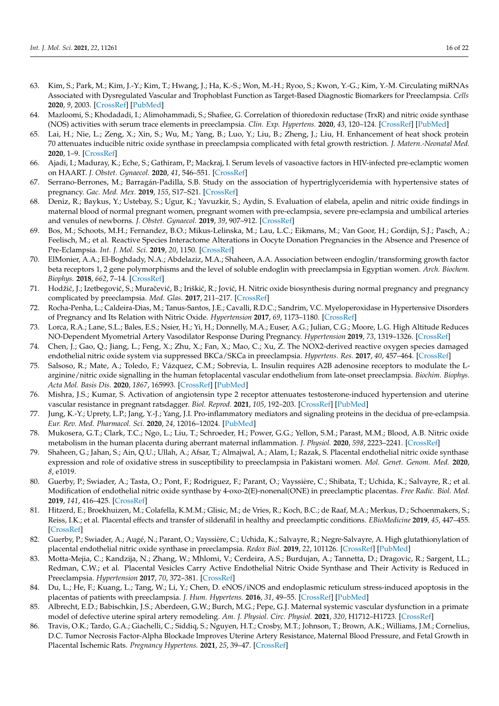- <span id="page-15-0"></span>63. Kim, S.; Park, M.; Kim, J.-Y.; Kim, T.; Hwang, J.; Ha, K.-S.; Won, M.-H.; Ryoo, S.; Kwon, Y.-G.; Kim, Y.-M. Circulating miRNAs Associated with Dysregulated Vascular and Trophoblast Function as Target-Based Diagnostic Biomarkers for Preeclampsia. *Cells* **2020**, *9*, 2003. [\[CrossRef\]](http://doi.org/10.3390/cells9092003) [\[PubMed\]](http://www.ncbi.nlm.nih.gov/pubmed/32878300)
- <span id="page-15-1"></span>64. Mazloomi, S.; Khodadadi, I.; Alimohammadi, S.; Shafiee, G. Correlation of thioredoxin reductase (TrxR) and nitric oxide synthase (NOS) activities with serum trace elements in preeclampsia. *Clin. Exp. Hypertens.* **2020**, *43*, 120–124. [\[CrossRef\]](http://doi.org/10.1080/10641963.2020.1817476) [\[PubMed\]](http://www.ncbi.nlm.nih.gov/pubmed/32876493)
- <span id="page-15-2"></span>65. Lai, H.; Nie, L.; Zeng, X.; Xin, S.; Wu, M.; Yang, B.; Luo, Y.; Liu, B.; Zheng, J.; Liu, H. Enhancement of heat shock protein 70 attenuates inducible nitric oxide synthase in preeclampsia complicated with fetal growth restriction. *J. Matern.-Neonatal Med.* **2020**, 1–9. [\[CrossRef\]](http://doi.org/10.1080/14767058.2020.1789965)
- <span id="page-15-3"></span>66. Ajadi, I.; Maduray, K.; Eche, S.; Gathiram, P.; Mackraj, I. Serum levels of vasoactive factors in HIV-infected pre-eclamptic women on HAART. *J. Obstet. Gynaecol.* **2020**, *41*, 546–551. [\[CrossRef\]](http://doi.org/10.1080/01443615.2020.1755626)
- <span id="page-15-4"></span>67. Serrano-Berrones, M.; Barragán-Padilla, S.B. Study on the association of hypertriglyceridemia with hypertensive states of pregnancy. *Gac. Med. Mex.* **2019**, *155*, S17–S21. [\[CrossRef\]](http://doi.org/10.24875/gmm.m19000284)
- <span id="page-15-5"></span>68. Deniz, R.; Baykus, Y.; Ustebay, S.; Ugur, K.; Yavuzkir, S.; Aydin, S. Evaluation of elabela, apelin and nitric oxide findings in maternal blood of normal pregnant women, pregnant women with pre-eclampsia, severe pre-eclampsia and umbilical arteries and venules of newborns. *J. Obstet. Gynaecol.* **2019**, *39*, 907–912. [\[CrossRef\]](http://doi.org/10.1080/01443615.2019.1572727)
- <span id="page-15-6"></span>69. Bos, M.; Schoots, M.H.; Fernandez, B.O.; Mikus-Lelinska, M.; Lau, L.C.; Eikmans, M.; Van Goor, H.; Gordijn, S.J.; Pasch, A.; Feelisch, M.; et al. Reactive Species Interactome Alterations in Oocyte Donation Pregnancies in the Absence and Presence of Pre-Eclampsia. *Int. J. Mol. Sci.* **2019**, *20*, 1150. [\[CrossRef\]](http://doi.org/10.3390/ijms20051150)
- <span id="page-15-7"></span>70. ElMonier, A.A.; El-Boghdady, N.A.; Abdelaziz, M.A.; Shaheen, A.A. Association between endoglin/transforming growth factor beta receptors 1, 2 gene polymorphisms and the level of soluble endoglin with preeclampsia in Egyptian women. *Arch. Biochem. Biophys.* **2018**, *662*, 7–14. [\[CrossRef\]](http://doi.org/10.1016/j.abb.2018.11.022)
- <span id="page-15-8"></span>71. Hodžić, J.; Izetbegović, S.; Muračević, B.; Iriškić, R.; Jović, H. Nitric oxide biosynthesis during normal pregnancy and pregnancy complicated by preeclampsia. *Med. Glas.* **2017**, 211–217. [\[CrossRef\]](http://doi.org/10.17392/915-17)
- <span id="page-15-9"></span>72. Rocha-Penha, L.; Caldeira-Dias, M.; Tanus-Santos, J.E.; Cavalli, R.D.C.; Sandrim, V.C. Myeloperoxidase in Hypertensive Disorders of Pregnancy and Its Relation with Nitric Oxide. *Hypertension* **2017**, *69*, 1173–1180. [\[CrossRef\]](http://doi.org/10.1161/HYPERTENSIONAHA.116.08854)
- <span id="page-15-10"></span>73. Lorca, R.A.; Lane, S.L.; Bales, E.S.; Nsier, H.; Yi, H.; Donnelly, M.A.; Euser, A.G.; Julian, C.G.; Moore, L.G. High Altitude Reduces NO-Dependent Myometrial Artery Vasodilator Response During Pregnancy. *Hypertension* **2019**, *73*, 1319–1326. [\[CrossRef\]](http://doi.org/10.1161/HYPERTENSIONAHA.119.12641)
- <span id="page-15-11"></span>74. Chen, J.; Gao, Q.; Jiang, L.; Feng, X.; Zhu, X.; Fan, X.; Mao, C.; Xu, Z. The NOX2-derived reactive oxygen species damaged endothelial nitric oxide system via suppressed BKCa/SKCa in preeclampsia. *Hypertens. Res.* **2017**, *40*, 457–464. [\[CrossRef\]](http://doi.org/10.1038/hr.2016.180)
- <span id="page-15-12"></span>75. Salsoso, R.; Mate, A.; Toledo, F.; Vázquez, C.M.; Sobrevia, L. Insulin requires A2B adenosine receptors to modulate the Larginine/nitric oxide signalling in the human fetoplacental vascular endothelium from late-onset preeclampsia. *Biochim. Biophys. Acta Mol. Basis Dis.* **2020**, *1867*, 165993. [\[CrossRef\]](http://doi.org/10.1016/j.bbadis.2020.165993) [\[PubMed\]](http://www.ncbi.nlm.nih.gov/pubmed/33096224)
- <span id="page-15-13"></span>76. Mishra, J.S.; Kumar, S. Activation of angiotensin type 2 receptor attenuates testosterone-induced hypertension and uterine vascular resistance in pregnant ratsdagger. *Biol. Reprod.* **2021**, *105*, 192–203. [\[CrossRef\]](http://doi.org/10.1093/biolre/ioab051) [\[PubMed\]](http://www.ncbi.nlm.nih.gov/pubmed/33739377)
- <span id="page-15-14"></span>77. Jung, K.-Y.; Uprety, L.P.; Jang, Y.-J.; Yang, J.I. Pro-inflammatory mediators and signaling proteins in the decidua of pre-eclampsia. *Eur. Rev. Med. Pharmacol. Sci.* **2020**, *24*, 12016–12024. [\[PubMed\]](http://www.ncbi.nlm.nih.gov/pubmed/33336719)
- <span id="page-15-15"></span>78. Mukosera, G.T.; Clark, T.C.; Ngo, L.; Liu, T.; Schroeder, H.; Power, G.G.; Yellon, S.M.; Parast, M.M.; Blood, A.B. Nitric oxide metabolism in the human placenta during aberrant maternal inflammation. *J. Physiol.* **2020**, *598*, 2223–2241. [\[CrossRef\]](http://doi.org/10.1113/JP279057)
- <span id="page-15-16"></span>79. Shaheen, G.; Jahan, S.; Ain, Q.U.; Ullah, A.; Afsar, T.; Almajwal, A.; Alam, I.; Razak, S. Placental endothelial nitric oxide synthase expression and role of oxidative stress in susceptibility to preeclampsia in Pakistani women. *Mol. Genet. Genom. Med.* **2020**, *8*, e1019.
- <span id="page-15-17"></span>80. Guerby, P.; Swiader, A.; Tasta, O.; Pont, F.; Rodriguez, F.; Parant, O.; Vayssière, C.; Shibata, T.; Uchida, K.; Salvayre, R.; et al. Modification of endothelial nitric oxide synthase by 4-oxo-2(E)-nonenal(ONE) in preeclamptic placentas. *Free Radic. Biol. Med.* **2019**, *141*, 416–425. [\[CrossRef\]](http://doi.org/10.1016/j.freeradbiomed.2019.07.015)
- <span id="page-15-18"></span>81. Hitzerd, E.; Broekhuizen, M.; Colafella, K.M.M.; Glisic, M.; de Vries, R.; Koch, B.C.; de Raaf, M.A.; Merkus, D.; Schoenmakers, S.; Reiss, I.K.; et al. Placental effects and transfer of sildenafil in healthy and preeclamptic conditions. *EBioMedicine* **2019**, *45*, 447–455. [\[CrossRef\]](http://doi.org/10.1016/j.ebiom.2019.06.007)
- <span id="page-15-19"></span>82. Guerby, P.; Swiader, A.; Augé, N.; Parant, O.; Vayssière, C.; Uchida, K.; Salvayre, R.; Negre-Salvayre, A. High glutathionylation of placental endothelial nitric oxide synthase in preeclampsia. *Redox Biol.* **2019**, *22*, 101126. [\[CrossRef\]](http://doi.org/10.1016/j.redox.2019.101126) [\[PubMed\]](http://www.ncbi.nlm.nih.gov/pubmed/30738311)
- <span id="page-15-20"></span>83. Motta-Mejia, C.; Kandzija, N.; Zhang, W.; Mhlomi, V.; Cerdeira, A.S.; Burdujan, A.; Tannetta, D.; Dragovic, R.; Sargent, I.L.; Redman, C.W.; et al. Placental Vesicles Carry Active Endothelial Nitric Oxide Synthase and Their Activity is Reduced in Preeclampsia. *Hypertension* **2017**, *70*, 372–381. [\[CrossRef\]](http://doi.org/10.1161/HYPERTENSIONAHA.117.09321)
- <span id="page-15-21"></span>84. Du, L.; He, F.; Kuang, L.; Tang, W.; Li, Y.; Chen, D. eNOS/iNOS and endoplasmic reticulum stress-induced apoptosis in the placentas of patients with preeclampsia. *J. Hum. Hypertens.* **2016**, *31*, 49–55. [\[CrossRef\]](http://doi.org/10.1038/jhh.2016.17) [\[PubMed\]](http://www.ncbi.nlm.nih.gov/pubmed/27030287)
- <span id="page-15-22"></span>85. Albrecht, E.D.; Babischkin, J.S.; Aberdeen, G.W.; Burch, M.G.; Pepe, G.J. Maternal systemic vascular dysfunction in a primate model of defective uterine spiral artery remodeling. *Am. J. Physiol. Circ. Physiol.* **2021**, *320*, H1712–H1723. [\[CrossRef\]](http://doi.org/10.1152/ajpheart.00613.2020)
- <span id="page-15-23"></span>86. Travis, O.K.; Tardo, G.A.; Giachelli, C.; Siddiq, S.; Nguyen, H.T.; Crosby, M.T.; Johnson, T.; Brown, A.K.; Williams, J.M.; Cornelius, D.C. Tumor Necrosis Factor-Alpha Blockade Improves Uterine Artery Resistance, Maternal Blood Pressure, and Fetal Growth in Placental Ischemic Rats. *Pregnancy Hypertens.* **2021**, *25*, 39–47. [\[CrossRef\]](http://doi.org/10.1016/j.preghy.2021.05.002)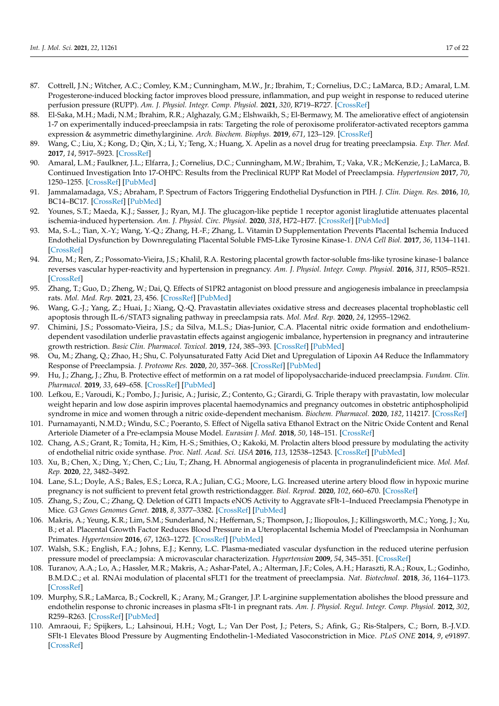- <span id="page-16-0"></span>87. Cottrell, J.N.; Witcher, A.C.; Comley, K.M.; Cunningham, M.W., Jr.; Ibrahim, T.; Cornelius, D.C.; LaMarca, B.D.; Amaral, L.M. Progesterone-induced blocking factor improves blood pressure, inflammation, and pup weight in response to reduced uterine perfusion pressure (RUPP). *Am. J. Physiol. Integr. Comp. Physiol.* **2021**, *320*, R719–R727. [\[CrossRef\]](http://doi.org/10.1152/ajpregu.00152.2020)
- <span id="page-16-1"></span>88. El-Saka, M.H.; Madi, N.M.; Ibrahim, R.R.; Alghazaly, G.M.; Elshwaikh, S.; El-Bermawy, M. The ameliorative effect of angiotensin 1-7 on experimentally induced-preeclampsia in rats: Targeting the role of peroxisome proliferator-activated receptors gamma expression & asymmetric dimethylarginine. *Arch. Biochem. Biophys.* **2019**, *671*, 123–129. [\[CrossRef\]](http://doi.org/10.1016/j.abb.2019.07.006)
- <span id="page-16-2"></span>89. Wang, C.; Liu, X.; Kong, D.; Qin, X.; Li, Y.; Teng, X.; Huang, X. Apelin as a novel drug for treating preeclampsia. *Exp. Ther. Med.* **2017**, *14*, 5917–5923. [\[CrossRef\]](http://doi.org/10.3892/etm.2017.5304)
- <span id="page-16-3"></span>90. Amaral, L.M.; Faulkner, J.L.; Elfarra, J.; Cornelius, D.C.; Cunningham, M.W.; Ibrahim, T.; Vaka, V.R.; McKenzie, J.; LaMarca, B. Continued Investigation Into 17-OHPC: Results from the Preclinical RUPP Rat Model of Preeclampsia. *Hypertension* **2017**, *70*, 1250–1255. [\[CrossRef\]](http://doi.org/10.1161/HYPERTENSIONAHA.117.09969) [\[PubMed\]](http://www.ncbi.nlm.nih.gov/pubmed/29084881)
- <span id="page-16-4"></span>91. Jammalamadaga, V.S.; Abraham, P. Spectrum of Factors Triggering Endothelial Dysfunction in PIH. *J. Clin. Diagn. Res.* **2016**, *10*, BC14–BC17. [\[CrossRef\]](http://doi.org/10.7860/JCDR/2016/22113.9023) [\[PubMed\]](http://www.ncbi.nlm.nih.gov/pubmed/28208844)
- <span id="page-16-5"></span>92. Younes, S.T.; Maeda, K.J.; Sasser, J.; Ryan, M.J. The glucagon-like peptide 1 receptor agonist liraglutide attenuates placental ischemia-induced hypertension. *Am. J. Physiol. Circ. Physiol.* **2020**, *318*, H72–H77. [\[CrossRef\]](http://doi.org/10.1152/ajpheart.00486.2019) [\[PubMed\]](http://www.ncbi.nlm.nih.gov/pubmed/31729903)
- <span id="page-16-6"></span>93. Ma, S.-L.; Tian, X.-Y.; Wang, Y.-Q.; Zhang, H.-F.; Zhang, L. Vitamin D Supplementation Prevents Placental Ischemia Induced Endothelial Dysfunction by Downregulating Placental Soluble FMS-Like Tyrosine Kinase-1. *DNA Cell Biol.* **2017**, *36*, 1134–1141. [\[CrossRef\]](http://doi.org/10.1089/dna.2017.3817)
- <span id="page-16-7"></span>94. Zhu, M.; Ren, Z.; Possomato-Vieira, J.S.; Khalil, R.A. Restoring placental growth factor-soluble fms-like tyrosine kinase-1 balance reverses vascular hyper-reactivity and hypertension in pregnancy. *Am. J. Physiol. Integr. Comp. Physiol.* **2016**, *311*, R505–R521. [\[CrossRef\]](http://doi.org/10.1152/ajpregu.00137.2016)
- <span id="page-16-8"></span>95. Zhang, T.; Guo, D.; Zheng, W.; Dai, Q. Effects of S1PR2 antagonist on blood pressure and angiogenesis imbalance in preeclampsia rats. *Mol. Med. Rep.* **2021**, *23*, 456. [\[CrossRef\]](http://doi.org/10.3892/mmr.2021.12095) [\[PubMed\]](http://www.ncbi.nlm.nih.gov/pubmed/33880585)
- <span id="page-16-9"></span>96. Wang, G.-J.; Yang, Z.; Huai, J.; Xiang, Q.-Q. Pravastatin alleviates oxidative stress and decreases placental trophoblastic cell apoptosis through IL-6/STAT3 signaling pathway in preeclampsia rats. *Mol. Med. Rep.* **2020**, *24*, 12955–12962.
- <span id="page-16-10"></span>97. Chimini, J.S.; Possomato-Vieira, J.S.; da Silva, M.L.S.; Dias-Junior, C.A. Placental nitric oxide formation and endotheliumdependent vasodilation underlie pravastatin effects against angiogenic imbalance, hypertension in pregnancy and intrauterine growth restriction. *Basic Clin. Pharmacol. Toxicol.* **2019**, *124*, 385–393. [\[CrossRef\]](http://doi.org/10.1111/bcpt.13149) [\[PubMed\]](http://www.ncbi.nlm.nih.gov/pubmed/30318719)
- <span id="page-16-11"></span>98. Ou, M.; Zhang, Q.; Zhao, H.; Shu, C. Polyunsaturated Fatty Acid Diet and Upregulation of Lipoxin A4 Reduce the Inflammatory Response of Preeclampsia. *J. Proteome Res.* **2020**, *20*, 357–368. [\[CrossRef\]](http://doi.org/10.1021/acs.jproteome.0c00439) [\[PubMed\]](http://www.ncbi.nlm.nih.gov/pubmed/33131275)
- <span id="page-16-12"></span>99. Hu, J.; Zhang, J.; Zhu, B. Protective effect of metformin on a rat model of lipopolysaccharide-induced preeclampsia. *Fundam. Clin. Pharmacol.* **2019**, *33*, 649–658. [\[CrossRef\]](http://doi.org/10.1111/fcp.12501) [\[PubMed\]](http://www.ncbi.nlm.nih.gov/pubmed/31334867)
- <span id="page-16-13"></span>100. Lefkou, E.; Varoudi, K.; Pombo, J.; Jurisic, A.; Jurisic, Z.; Contento, G.; Girardi, G. Triple therapy with pravastatin, low molecular weight heparin and low dose aspirin improves placental haemodynamics and pregnancy outcomes in obstetric antiphospholipid syndrome in mice and women through a nitric oxide-dependent mechanism. *Biochem. Pharmacol.* **2020**, *182*, 114217. [\[CrossRef\]](http://doi.org/10.1016/j.bcp.2020.114217)
- <span id="page-16-14"></span>101. Purnamayanti, N.M.D.; Windu, S.C.; Poeranto, S. Effect of Nigella sativa Ethanol Extract on the Nitric Oxide Content and Renal Arteriole Diameter of a Pre-eclampsia Mouse Model. *Eurasian J. Med.* **2018**, *50*, 148–151. [\[CrossRef\]](http://doi.org/10.5152/eurasianjmed.2018.17123)
- <span id="page-16-15"></span>102. Chang, A.S.; Grant, R.; Tomita, H.; Kim, H.-S.; Smithies, O.; Kakoki, M. Prolactin alters blood pressure by modulating the activity of endothelial nitric oxide synthase. *Proc. Natl. Acad. Sci. USA* **2016**, *113*, 12538–12543. [\[CrossRef\]](http://doi.org/10.1073/pnas.1615051113) [\[PubMed\]](http://www.ncbi.nlm.nih.gov/pubmed/27791173)
- <span id="page-16-16"></span>103. Xu, B.; Chen, X.; Ding, Y.; Chen, C.; Liu, T.; Zhang, H. Abnormal angiogenesis of placenta in progranulindeficient mice. *Mol. Med. Rep.* **2020**, *22*, 3482–3492.
- <span id="page-16-17"></span>104. Lane, S.L.; Doyle, A.S.; Bales, E.S.; Lorca, R.A.; Julian, C.G.; Moore, L.G. Increased uterine artery blood flow in hypoxic murine pregnancy is not sufficient to prevent fetal growth restrictiondagger. *Biol. Reprod.* **2020**, *102*, 660–670. [\[CrossRef\]](http://doi.org/10.1093/biolre/ioz208)
- <span id="page-16-18"></span>105. Zhang, S.; Zou, C.; Zhang, Q. Deletion of GIT1 Impacts eNOS Activity to Aggravate sFlt-1–Induced Preeclampsia Phenotype in Mice. *G3 Genes Genomes Genet.* **2018**, *8*, 3377–3382. [\[CrossRef\]](http://doi.org/10.1534/g3.118.200509) [\[PubMed\]](http://www.ncbi.nlm.nih.gov/pubmed/30135105)
- <span id="page-16-19"></span>106. Makris, A.; Yeung, K.R.; Lim, S.M.; Sunderland, N.; Heffernan, S.; Thompson, J.; Iliopoulos, J.; Killingsworth, M.C.; Yong, J.; Xu, B.; et al. Placental Growth Factor Reduces Blood Pressure in a Uteroplacental Ischemia Model of Preeclampsia in Nonhuman Primates. *Hypertension* **2016**, *67*, 1263–1272. [\[CrossRef\]](http://doi.org/10.1161/HYPERTENSIONAHA.116.07286) [\[PubMed\]](http://www.ncbi.nlm.nih.gov/pubmed/27091894)
- <span id="page-16-20"></span>107. Walsh, S.K.; English, F.A.; Johns, E.J.; Kenny, L.C. Plasma-mediated vascular dysfunction in the reduced uterine perfusion pressure model of preeclampsia: A microvascular characterization. *Hypertension* **2009**, *54*, 345–351. [\[CrossRef\]](http://doi.org/10.1161/HYPERTENSIONAHA.109.132191)
- <span id="page-16-21"></span>108. Turanov, A.A.; Lo, A.; Hassler, M.R.; Makris, A.; Ashar-Patel, A.; Alterman, J.F.; Coles, A.H.; Haraszti, R.A.; Roux, L.; Godinho, B.M.D.C.; et al. RNAi modulation of placental sFLT1 for the treatment of preeclampsia. *Nat. Biotechnol.* **2018**, *36*, 1164–1173. [\[CrossRef\]](http://doi.org/10.1038/nbt.4297)
- <span id="page-16-22"></span>109. Murphy, S.R.; LaMarca, B.; Cockrell, K.; Arany, M.; Granger, J.P. L-arginine supplementation abolishes the blood pressure and endothelin response to chronic increases in plasma sFlt-1 in pregnant rats. *Am. J. Physiol. Regul. Integr. Comp. Physiol.* **2012**, *302*, R259–R263. [\[CrossRef\]](http://doi.org/10.1152/ajpregu.00319.2011) [\[PubMed\]](http://www.ncbi.nlm.nih.gov/pubmed/22071155)
- <span id="page-16-23"></span>110. Amraoui, F.; Spijkers, L.; Lahsinoui, H.H.; Vogt, L.; Van Der Post, J.; Peters, S.; Afink, G.; Ris-Stalpers, C.; Born, B.-J.V.D. SFlt-1 Elevates Blood Pressure by Augmenting Endothelin-1-Mediated Vasoconstriction in Mice. *PLoS ONE* **2014**, *9*, e91897. [\[CrossRef\]](http://doi.org/10.1371/journal.pone.0091897)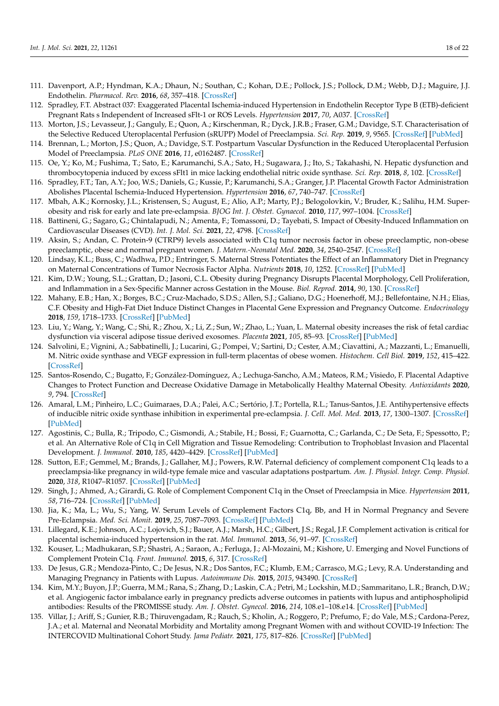- <span id="page-17-0"></span>111. Davenport, A.P.; Hyndman, K.A.; Dhaun, N.; Southan, C.; Kohan, D.E.; Pollock, J.S.; Pollock, D.M.; Webb, D.J.; Maguire, J.J. Endothelin. *Pharmacol. Rev.* **2016**, *68*, 357–418. [\[CrossRef\]](http://doi.org/10.1124/pr.115.011833)
- <span id="page-17-1"></span>112. Spradley, F.T. Abstract 037: Exaggerated Placental Ischemia-induced Hypertension in Endothelin Receptor Type B (ETB)-deficient Pregnant Rats s Independent of Increased sFlt-1 or ROS Levels. *Hypertension* **2017**, *70*, A037. [\[CrossRef\]](http://doi.org/10.1161/hyp.70.suppl_1.037)
- <span id="page-17-2"></span>113. Morton, J.S.; Levasseur, J.; Ganguly, E.; Quon, A.; Kirschenman, R.; Dyck, J.R.B.; Fraser, G.M.; Davidge, S.T. Characterisation of the Selective Reduced Uteroplacental Perfusion (sRUPP) Model of Preeclampsia. *Sci. Rep.* **2019**, *9*, 9565. [\[CrossRef\]](http://doi.org/10.1038/s41598-019-45959-6) [\[PubMed\]](http://www.ncbi.nlm.nih.gov/pubmed/31266978)
- <span id="page-17-3"></span>114. Brennan, L.; Morton, J.S.; Quon, A.; Davidge, S.T. Postpartum Vascular Dysfunction in the Reduced Uteroplacental Perfusion Model of Preeclampsia. *PLoS ONE* **2016**, *11*, e0162487. [\[CrossRef\]](http://doi.org/10.1371/journal.pone.0162487)
- <span id="page-17-4"></span>115. Oe, Y.; Ko, M.; Fushima, T.; Sato, E.; Karumanchi, S.A.; Sato, H.; Sugawara, J.; Ito, S.; Takahashi, N. Hepatic dysfunction and thrombocytopenia induced by excess sFlt1 in mice lacking endothelial nitric oxide synthase. *Sci. Rep.* **2018**, *8*, 102. [\[CrossRef\]](http://doi.org/10.1038/s41598-017-18260-7)
- <span id="page-17-5"></span>116. Spradley, F.T.; Tan, A.Y.; Joo, W.S.; Daniels, G.; Kussie, P.; Karumanchi, S.A.; Granger, J.P. Placental Growth Factor Administration Abolishes Placental Ischemia-Induced Hypertension. *Hypertension* **2016**, *67*, 740–747. [\[CrossRef\]](http://doi.org/10.1161/HYPERTENSIONAHA.115.06783)
- <span id="page-17-6"></span>117. Mbah, A.K.; Kornosky, J.L.; Kristensen, S.; August, E.; Alio, A.P.; Marty, P.J.; Belogolovkin, V.; Bruder, K.; Salihu, H.M. Superobesity and risk for early and late pre-eclampsia. *BJOG Int. J. Obstet. Gynaecol.* **2010**, *117*, 997–1004. [\[CrossRef\]](http://doi.org/10.1111/j.1471-0528.2010.02593.x)
- <span id="page-17-7"></span>118. Battineni, G.; Sagaro, G.; Chintalapudi, N.; Amenta, F.; Tomassoni, D.; Tayebati, S. Impact of Obesity-Induced Inflammation on Cardiovascular Diseases (CVD). *Int. J. Mol. Sci.* **2021**, *22*, 4798. [\[CrossRef\]](http://doi.org/10.3390/ijms22094798)
- <span id="page-17-8"></span>119. Aksin, S.; Andan, C. Protein-9 (CTRP9) levels associated with C1q tumor necrosis factor in obese preeclamptic, non-obese preeclamptic, obese and normal pregnant women. *J. Matern.-Neonatal Med.* **2020**, *34*, 2540–2547. [\[CrossRef\]](http://doi.org/10.1080/14767058.2020.1789582)
- <span id="page-17-9"></span>120. Lindsay, K.L.; Buss, C.; Wadhwa, P.D.; Entringer, S. Maternal Stress Potentiates the Effect of an Inflammatory Diet in Pregnancy on Maternal Concentrations of Tumor Necrosis Factor Alpha. *Nutrients* **2018**, *10*, 1252. [\[CrossRef\]](http://doi.org/10.3390/nu10091252) [\[PubMed\]](http://www.ncbi.nlm.nih.gov/pubmed/30200631)
- <span id="page-17-10"></span>121. Kim, D.W.; Young, S.L.; Grattan, D.; Jasoni, C.L. Obesity during Pregnancy Disrupts Placental Morphology, Cell Proliferation, and Inflammation in a Sex-Specific Manner across Gestation in the Mouse. *Biol. Reprod.* **2014**, *90*, 130. [\[CrossRef\]](http://doi.org/10.1095/biolreprod.113.117259)
- 122. Mahany, E.B.; Han, X.; Borges, B.C.; Cruz-Machado, S.D.S.; Allen, S.J.; Galiano, D.G.; Hoenerhoff, M.J.; Bellefontaine, N.H.; Elias, C.F. Obesity and High-Fat Diet Induce Distinct Changes in Placental Gene Expression and Pregnancy Outcome. *Endocrinology* **2018**, *159*, 1718–1733. [\[CrossRef\]](http://doi.org/10.1210/en.2017-03053) [\[PubMed\]](http://www.ncbi.nlm.nih.gov/pubmed/29438518)
- <span id="page-17-11"></span>123. Liu, Y.; Wang, Y.; Wang, C.; Shi, R.; Zhou, X.; Li, Z.; Sun, W.; Zhao, L.; Yuan, L. Maternal obesity increases the risk of fetal cardiac dysfunction via visceral adipose tissue derived exosomes. *Placenta* **2021**, *105*, 85–93. [\[CrossRef\]](http://doi.org/10.1016/j.placenta.2021.01.020) [\[PubMed\]](http://www.ncbi.nlm.nih.gov/pubmed/33556718)
- <span id="page-17-12"></span>124. Salvolini, E.; Vignini, A.; Sabbatinelli, J.; Lucarini, G.; Pompei, V.; Sartini, D.; Cester, A.M.; Ciavattini, A.; Mazzanti, L.; Emanuelli, M. Nitric oxide synthase and VEGF expression in full-term placentas of obese women. *Histochem. Cell Biol.* **2019**, *152*, 415–422. [\[CrossRef\]](http://doi.org/10.1007/s00418-019-01819-y)
- <span id="page-17-13"></span>125. Santos-Rosendo, C.; Bugatto, F.; González-Domínguez, A.; Lechuga-Sancho, A.M.; Mateos, R.M.; Visiedo, F. Placental Adaptive Changes to Protect Function and Decrease Oxidative Damage in Metabolically Healthy Maternal Obesity. *Antioxidants* **2020**, *9*, 794. [\[CrossRef\]](http://doi.org/10.3390/antiox9090794)
- <span id="page-17-14"></span>126. Amaral, L.M.; Pinheiro, L.C.; Guimaraes, D.A.; Palei, A.C.; Sertório, J.T.; Portella, R.L.; Tanus-Santos, J.E. Antihypertensive effects of inducible nitric oxide synthase inhibition in experimental pre-eclampsia. *J. Cell. Mol. Med.* **2013**, *17*, 1300–1307. [\[CrossRef\]](http://doi.org/10.1111/jcmm.12106) [\[PubMed\]](http://www.ncbi.nlm.nih.gov/pubmed/23890248)
- <span id="page-17-15"></span>127. Agostinis, C.; Bulla, R.; Tripodo, C.; Gismondi, A.; Stabile, H.; Bossi, F.; Guarnotta, C.; Garlanda, C.; De Seta, F.; Spessotto, P.; et al. An Alternative Role of C1q in Cell Migration and Tissue Remodeling: Contribution to Trophoblast Invasion and Placental Development. *J. Immunol.* **2010**, *185*, 4420–4429. [\[CrossRef\]](http://doi.org/10.4049/jimmunol.0903215) [\[PubMed\]](http://www.ncbi.nlm.nih.gov/pubmed/20810993)
- <span id="page-17-16"></span>128. Sutton, E.F.; Gemmel, M.; Brands, J.; Gallaher, M.J.; Powers, R.W. Paternal deficiency of complement component C1q leads to a preeclampsia-like pregnancy in wild-type female mice and vascular adaptations postpartum. *Am. J. Physiol. Integr. Comp. Physiol.* **2020**, *318*, R1047–R1057. [\[CrossRef\]](http://doi.org/10.1152/ajpregu.00353.2019) [\[PubMed\]](http://www.ncbi.nlm.nih.gov/pubmed/32374620)
- <span id="page-17-17"></span>129. Singh, J.; Ahmed, A.; Girardi, G. Role of Complement Component C1q in the Onset of Preeclampsia in Mice. *Hypertension* **2011**, *58*, 716–724. [\[CrossRef\]](http://doi.org/10.1161/HYPERTENSIONAHA.111.175919) [\[PubMed\]](http://www.ncbi.nlm.nih.gov/pubmed/21859968)
- <span id="page-17-18"></span>130. Jia, K.; Ma, L.; Wu, S.; Yang, W. Serum Levels of Complement Factors C1q, Bb, and H in Normal Pregnancy and Severe Pre-Eclampsia. *Med. Sci. Monit.* **2019**, *25*, 7087–7093. [\[CrossRef\]](http://doi.org/10.12659/MSM.915777) [\[PubMed\]](http://www.ncbi.nlm.nih.gov/pubmed/31541546)
- <span id="page-17-19"></span>131. Lillegard, K.E.; Johnson, A.C.; Lojovich, S.J.; Bauer, A.J.; Marsh, H.C.; Gilbert, J.S.; Regal, J.F. Complement activation is critical for placental ischemia-induced hypertension in the rat. *Mol. Immunol.* **2013**, *56*, 91–97. [\[CrossRef\]](http://doi.org/10.1016/j.molimm.2013.04.009)
- <span id="page-17-20"></span>132. Kouser, L.; Madhukaran, S.P.; Shastri, A.; Saraon, A.; Ferluga, J.; Al-Mozaini, M.; Kishore, U. Emerging and Novel Functions of Complement Protein C1q. *Front. Immunol.* **2015**, *6*, 317. [\[CrossRef\]](http://doi.org/10.3389/fimmu.2015.00317)
- <span id="page-17-21"></span>133. De Jesus, G.R.; Mendoza-Pinto, C.; De Jesus, N.R.; Dos Santos, F.C.; Klumb, E.M.; Carrasco, M.G.; Levy, R.A. Understanding and Managing Pregnancy in Patients with Lupus. *Autoimmune Dis.* **2015**, *2015*, 943490. [\[CrossRef\]](http://doi.org/10.1155/2015/943490)
- <span id="page-17-22"></span>134. Kim, M.Y.; Buyon, J.P.; Guerra, M.M.; Rana, S.; Zhang, D.; Laskin, C.A.; Petri, M.; Lockshin, M.D.; Sammaritano, L.R.; Branch, D.W.; et al. Angiogenic factor imbalance early in pregnancy predicts adverse outcomes in patients with lupus and antiphospholipid antibodies: Results of the PROMISSE study. *Am. J. Obstet. Gynecol.* **2016**, *214*, 108.e1–108.e14. [\[CrossRef\]](http://doi.org/10.1016/j.ajog.2015.09.066) [\[PubMed\]](http://www.ncbi.nlm.nih.gov/pubmed/26432463)
- <span id="page-17-23"></span>135. Villar, J.; Ariff, S.; Gunier, R.B.; Thiruvengadam, R.; Rauch, S.; Kholin, A.; Roggero, P.; Prefumo, F.; do Vale, M.S.; Cardona-Perez, J.A.; et al. Maternal and Neonatal Morbidity and Mortality among Pregnant Women with and without COVID-19 Infection: The INTERCOVID Multinational Cohort Study. *Jama Pediatr.* **2021**, *175*, 817–826. [\[CrossRef\]](http://doi.org/10.1001/jamapediatrics.2021.1050) [\[PubMed\]](http://www.ncbi.nlm.nih.gov/pubmed/33885740)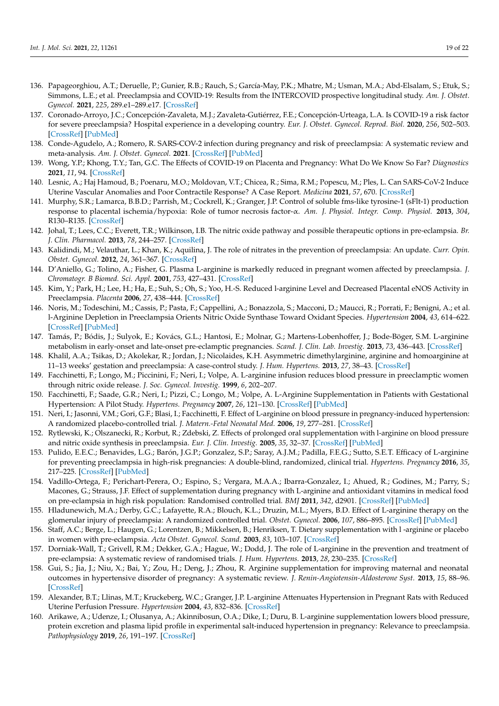- 136. Papageorghiou, A.T.; Deruelle, P.; Gunier, R.B.; Rauch, S.; García-May, P.K.; Mhatre, M.; Usman, M.A.; Abd-Elsalam, S.; Etuk, S.; Simmons, L.E.; et al. Preeclampsia and COVID-19: Results from the INTERCOVID prospective longitudinal study. *Am. J. Obstet. Gynecol.* **2021**, *225*, 289.e1–289.e17. [\[CrossRef\]](http://doi.org/10.1016/j.ajog.2021.05.014)
- 137. Coronado-Arroyo, J.C.; Concepción-Zavaleta, M.J.; Zavaleta-Gutiérrez, F.E.; Concepción-Urteaga, L.A. Is COVID-19 a risk factor for severe preeclampsia? Hospital experience in a developing country. *Eur. J. Obstet. Gynecol. Reprod. Biol.* **2020**, *256*, 502–503. [\[CrossRef\]](http://doi.org/10.1016/j.ejogrb.2020.09.020) [\[PubMed\]](http://www.ncbi.nlm.nih.gov/pubmed/32958322)
- <span id="page-18-0"></span>138. Conde-Agudelo, A.; Romero, R. SARS-COV-2 infection during pregnancy and risk of preeclampsia: A systematic review and meta-analysis. *Am. J. Obstet. Gynecol.* **2021**. [\[CrossRef\]](http://doi.org/10.1016/j.ajog.2021.07.009) [\[PubMed\]](http://www.ncbi.nlm.nih.gov/pubmed/34302772)
- <span id="page-18-1"></span>139. Wong, Y.P.; Khong, T.Y.; Tan, G.C. The Effects of COVID-19 on Placenta and Pregnancy: What Do We Know So Far? *Diagnostics* **2021**, *11*, 94. [\[CrossRef\]](http://doi.org/10.3390/diagnostics11010094)
- <span id="page-18-2"></span>140. Lesnic, A.; Haj Hamoud, B.; Poenaru, M.O.; Moldovan, V.T.; Chicea, R.; Sima, R.M.; Popescu, M.; Ples, L. Can SARS-CoV-2 Induce Uterine Vascular Anomalies and Poor Contractile Response? A Case Report. *Medicina* **2021**, *57*, 670. [\[CrossRef\]](http://doi.org/10.3390/medicina57070670)
- <span id="page-18-3"></span>141. Murphy, S.R.; Lamarca, B.B.D.; Parrish, M.; Cockrell, K.; Granger, J.P. Control of soluble fms-like tyrosine-1 (sFlt-1) production response to placental ischemia/hypoxia: Role of tumor necrosis factor-α. *Am. J. Physiol. Integr. Comp. Physiol.* **2013**, *304*, R130–R135. [\[CrossRef\]](http://doi.org/10.1152/ajpregu.00069.2012)
- <span id="page-18-4"></span>142. Johal, T.; Lees, C.C.; Everett, T.R.; Wilkinson, I.B. The nitric oxide pathway and possible therapeutic options in pre-eclampsia. *Br. J. Clin. Pharmacol.* **2013**, *78*, 244–257. [\[CrossRef\]](http://doi.org/10.1111/bcp.12301)
- <span id="page-18-5"></span>143. Kalidindi, M.; Velauthar, L.; Khan, K.; Aquilina, J. The role of nitrates in the prevention of preeclampsia: An update. *Curr. Opin. Obstet. Gynecol.* **2012**, *24*, 361–367. [\[CrossRef\]](http://doi.org/10.1097/GCO.0b013e32835a31de)
- <span id="page-18-6"></span>144. D'Aniello, G.; Tolino, A.; Fisher, G. Plasma L-arginine is markedly reduced in pregnant women affected by preeclampsia. *J. Chromatogr. B Biomed. Sci. Appl.* **2001**, *753*, 427–431. [\[CrossRef\]](http://doi.org/10.1016/S0378-4347(00)00565-X)
- 145. Kim, Y.; Park, H.; Lee, H.; Ha, E.; Suh, S.; Oh, S.; Yoo, H.-S. Reduced l-arginine Level and Decreased Placental eNOS Activity in Preeclampsia. *Placenta* **2006**, *27*, 438–444. [\[CrossRef\]](http://doi.org/10.1016/j.placenta.2005.04.011)
- 146. Noris, M.; Todeschini, M.; Cassis, P.; Pasta, F.; Cappellini, A.; Bonazzola, S.; Macconi, D.; Maucci, R.; Porrati, F.; Benigni, A.; et al. l-Arginine Depletion in Preeclampsia Orients Nitric Oxide Synthase Toward Oxidant Species. *Hypertension* **2004**, *43*, 614–622. [\[CrossRef\]](http://doi.org/10.1161/01.HYP.0000116220.39793.c9) [\[PubMed\]](http://www.ncbi.nlm.nih.gov/pubmed/14744923)
- <span id="page-18-7"></span>147. Tamás, P.; Bódis, J.; Sulyok, E.; Kovács, G.L.; Hantosi, E.; Molnar, G.; Martens-Lobenhoffer, J.; Bode-Böger, S.M. L-arginine metabolism in early-onset and late-onset pre-eclamptic pregnancies. *Scand. J. Clin. Lab. Investig.* **2013**, *73*, 436–443. [\[CrossRef\]](http://doi.org/10.3109/00365513.2013.803230)
- <span id="page-18-8"></span>148. Khalil, A.A.; Tsikas, D.; Akolekar, R.; Jordan, J.; Nicolaides, K.H. Asymmetric dimethylarginine, arginine and homoarginine at 11–13 weeks' gestation and preeclampsia: A case-control study. *J. Hum. Hypertens.* **2013**, *27*, 38–43. [\[CrossRef\]](http://doi.org/10.1038/jhh.2011.109)
- <span id="page-18-9"></span>149. Facchinetti, F.; Longo, M.; Piccinini, F.; Neri, I.; Volpe, A. L-arginine infusion reduces blood pressure in preeclamptic women through nitric oxide release. *J. Soc. Gynecol. Investig.* **1999**, *6*, 202–207.
- 150. Facchinetti, F.; Saade, G.R.; Neri, I.; Pizzi, C.; Longo, M.; Volpe, A. L-Arginine Supplementation in Patients with Gestational Hypertension: A Pilot Study. *Hypertens. Pregnancy* **2007**, *26*, 121–130. [\[CrossRef\]](http://doi.org/10.1080/10641950601147994) [\[PubMed\]](http://www.ncbi.nlm.nih.gov/pubmed/17454224)
- 151. Neri, I.; Jasonni, V.M.; Gori, G.F.; Blasi, I.; Facchinetti, F. Effect of L-arginine on blood pressure in pregnancy-induced hypertension: A randomized placebo-controlled trial. *J. Matern.-Fetal Neonatal Med.* **2006**, *19*, 277–281. [\[CrossRef\]](http://doi.org/10.1080/14767050600587983)
- <span id="page-18-10"></span>152. Rytlewski, K.; Olszanecki, R.; Korbut, R.; Zdebski, Z. Effects of prolonged oral supplementation with l-arginine on blood pressure and nitric oxide synthesis in preeclampsia. *Eur. J. Clin. Investig.* **2005**, *35*, 32–37. [\[CrossRef\]](http://doi.org/10.1111/j.1365-2362.2005.01445.x) [\[PubMed\]](http://www.ncbi.nlm.nih.gov/pubmed/15638817)
- <span id="page-18-11"></span>153. Pulido, E.E.C.; Benavides, L.G.; Barón, J.G.P.; Gonzalez, S.P.; Saray, A.J.M.; Padilla, F.E.G.; Sutto, S.E.T. Efficacy of L-arginine for preventing preeclampsia in high-risk pregnancies: A double-blind, randomized, clinical trial. *Hypertens. Pregnancy* **2016**, *35*, 217–225. [\[CrossRef\]](http://doi.org/10.3109/10641955.2015.1137586) [\[PubMed\]](http://www.ncbi.nlm.nih.gov/pubmed/27003763)
- <span id="page-18-12"></span>154. Vadillo-Ortega, F.; Perichart-Perera, O.; Espino, S.; Vergara, M.A.A.; Ibarra-Gonzalez, I.; Ahued, R.; Godines, M.; Parry, S.; Macones, G.; Strauss, J.F. Effect of supplementation during pregnancy with L-arginine and antioxidant vitamins in medical food on pre-eclampsia in high risk population: Randomised controlled trial. *BMJ* **2011**, *342*, d2901. [\[CrossRef\]](http://doi.org/10.1136/bmj.d2901) [\[PubMed\]](http://www.ncbi.nlm.nih.gov/pubmed/21596735)
- <span id="page-18-13"></span>155. Hladunewich, M.A.; Derby, G.C.; Lafayette, R.A.; Blouch, K.L.; Druzin, M.L.; Myers, B.D. Effect of L-arginine therapy on the glomerular injury of preeclampsia: A randomized controlled trial. *Obstet. Gynecol.* **2006**, *107*, 886–895. [\[CrossRef\]](http://doi.org/10.1097/01.AOG.0000207637.01824.fe) [\[PubMed\]](http://www.ncbi.nlm.nih.gov/pubmed/16582128)
- <span id="page-18-14"></span>156. Staff, A.C.; Berge, L.; Haugen, G.; Lorentzen, B.; Mikkelsen, B.; Henriksen, T. Dietary supplementation with l -arginine or placebo in women with pre-eclampsia. *Acta Obstet. Gynecol. Scand.* **2003**, *83*, 103–107. [\[CrossRef\]](http://doi.org/10.1111/j.1600-0412.2004.00321.x)
- <span id="page-18-15"></span>157. Dorniak-Wall, T.; Grivell, R.M.; Dekker, G.A.; Hague, W.; Dodd, J. The role of L-arginine in the prevention and treatment of pre-eclampsia: A systematic review of randomised trials. *J. Hum. Hypertens.* **2013**, *28*, 230–235. [\[CrossRef\]](http://doi.org/10.1038/jhh.2013.100)
- <span id="page-18-16"></span>158. Gui, S.; Jia, J.; Niu, X.; Bai, Y.; Zou, H.; Deng, J.; Zhou, R. Arginine supplementation for improving maternal and neonatal outcomes in hypertensive disorder of pregnancy: A systematic review. *J. Renin-Angiotensin-Aldosterone Syst.* **2013**, *15*, 88–96. [\[CrossRef\]](http://doi.org/10.1177/1470320313475910)
- <span id="page-18-17"></span>159. Alexander, B.T.; Llinas, M.T.; Kruckeberg, W.C.; Granger, J.P. L-arginine Attenuates Hypertension in Pregnant Rats with Reduced Uterine Perfusion Pressure. *Hypertension* **2004**, *43*, 832–836. [\[CrossRef\]](http://doi.org/10.1161/01.HYP.0000119192.32360.a9)
- 160. Arikawe, A.; Udenze, I.; Olusanya, A.; Akinnibosun, O.A.; Dike, I.; Duru, B. L-arginine supplementation lowers blood pressure, protein excretion and plasma lipid profile in experimental salt-induced hypertension in pregnancy: Relevance to preeclampsia. *Pathophysiology* **2019**, *26*, 191–197. [\[CrossRef\]](http://doi.org/10.1016/j.pathophys.2019.02.002)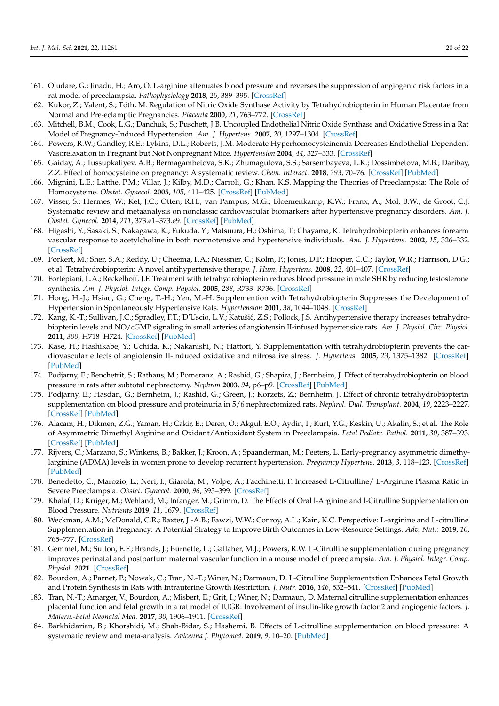- <span id="page-19-0"></span>161. Oludare, G.; Jinadu, H.; Aro, O. L-arginine attenuates blood pressure and reverses the suppression of angiogenic risk factors in a rat model of preeclampsia. *Pathophysiology* **2018**, *25*, 389–395. [\[CrossRef\]](http://doi.org/10.1016/j.pathophys.2018.08.001)
- <span id="page-19-1"></span>162. Kukor, Z.; Valent, S.; Tóth, M. Regulation of Nitric Oxide Synthase Activity by Tetrahydrobiopterin in Human Placentae from Normal and Pre-eclamptic Pregnancies. *Placenta* **2000**, *21*, 763–772. [\[CrossRef\]](http://doi.org/10.1053/plac.2000.0584)
- <span id="page-19-2"></span>163. Mitchell, B.M.; Cook, L.G.; Danchuk, S.; Puschett, J.B. Uncoupled Endothelial Nitric Oxide Synthase and Oxidative Stress in a Rat Model of Pregnancy-Induced Hypertension. *Am. J. Hypertens.* **2007**, *20*, 1297–1304. [\[CrossRef\]](http://doi.org/10.1016/j.amjhyper.2007.08.007)
- <span id="page-19-3"></span>164. Powers, R.W.; Gandley, R.E.; Lykins, D.L.; Roberts, J.M. Moderate Hyperhomocysteinemia Decreases Endothelial-Dependent Vasorelaxation in Pregnant but Not Nonpregnant Mice. *Hypertension* **2004**, *44*, 327–333. [\[CrossRef\]](http://doi.org/10.1161/01.HYP.0000137414.12119.f6)
- <span id="page-19-4"></span>165. Gaiday, A.; Tussupkaliyev, A.B.; Bermagambetova, S.K.; Zhumagulova, S.S.; Sarsembayeva, L.K.; Dossimbetova, M.B.; Daribay, Z.Z. Effect of homocysteine on pregnancy: A systematic review. *Chem. Interact.* **2018**, *293*, 70–76. [\[CrossRef\]](http://doi.org/10.1016/j.cbi.2018.07.021) [\[PubMed\]](http://www.ncbi.nlm.nih.gov/pubmed/30053452)
- 166. Mignini, L.E.; Latthe, P.M.; Villar, J.; Kilby, M.D.; Carroli, G.; Khan, K.S. Mapping the Theories of Preeclampsia: The Role of Homocysteine. *Obstet. Gynecol.* **2005**, *105*, 411–425. [\[CrossRef\]](http://doi.org/10.1097/01.AOG.0000151117.52952.b6) [\[PubMed\]](http://www.ncbi.nlm.nih.gov/pubmed/15684173)
- <span id="page-19-5"></span>167. Visser, S.; Hermes, W.; Ket, J.C.; Otten, R.H.; van Pampus, M.G.; Bloemenkamp, K.W.; Franx, A.; Mol, B.W.; de Groot, C.J. Systematic review and metaanalysis on nonclassic cardiovascular biomarkers after hypertensive pregnancy disorders. *Am. J. Obstet. Gynecol.* **2014**, *211*, 373.e1–373.e9. [\[CrossRef\]](http://doi.org/10.1016/j.ajog.2014.03.032) [\[PubMed\]](http://www.ncbi.nlm.nih.gov/pubmed/24637129)
- <span id="page-19-6"></span>168. Higashi, Y.; Sasaki, S.; Nakagawa, K.; Fukuda, Y.; Matsuura, H.; Oshima, T.; Chayama, K. Tetrahydrobiopterin enhances forearm vascular response to acetylcholine in both normotensive and hypertensive individuals. *Am. J. Hypertens.* **2002**, *15*, 326–332. [\[CrossRef\]](http://doi.org/10.1016/S0895-7061(01)02317-2)
- <span id="page-19-7"></span>169. Porkert, M.; Sher, S.A.; Reddy, U.; Cheema, F.A.; Niessner, C.; Kolm, P.; Jones, D.P.; Hooper, C.C.; Taylor, W.R.; Harrison, D.G.; et al. Tetrahydrobiopterin: A novel antihypertensive therapy. *J. Hum. Hypertens.* **2008**, *22*, 401–407. [\[CrossRef\]](http://doi.org/10.1038/sj.jhh.1002329)
- <span id="page-19-8"></span>170. Fortepiani, L.A.; Reckelhoff, J.F. Treatment with tetrahydrobiopterin reduces blood pressure in male SHR by reducing testosterone synthesis. *Am. J. Physiol. Integr. Comp. Physiol.* **2005**, *288*, R733–R736. [\[CrossRef\]](http://doi.org/10.1152/ajpregu.00500.2004)
- 171. Hong, H.-J.; Hsiao, G.; Cheng, T.-H.; Yen, M.-H. Supplemention with Tetrahydrobiopterin Suppresses the Development of Hypertension in Spontaneously Hypertensive Rats. *Hypertension* **2001**, *38*, 1044–1048. [\[CrossRef\]](http://doi.org/10.1161/hy1101.095331)
- 172. Kang, K.-T.; Sullivan, J.C.; Spradley, F.T.; D'Uscio, L.V.; Katušić, Z.S.; Pollock, J.S. Antihypertensive therapy increases tetrahydrobiopterin levels and NO/cGMP signaling in small arteries of angiotensin II-infused hypertensive rats. *Am. J. Physiol. Circ. Physiol.* **2011**, *300*, H718–H724. [\[CrossRef\]](http://doi.org/10.1152/ajpheart.00393.2010) [\[PubMed\]](http://www.ncbi.nlm.nih.gov/pubmed/21148769)
- 173. Kase, H.; Hashikabe, Y.; Uchida, K.; Nakanishi, N.; Hattori, Y. Supplementation with tetrahydrobiopterin prevents the cardiovascular effects of angiotensin II-induced oxidative and nitrosative stress. *J. Hypertens.* **2005**, *23*, 1375–1382. [\[CrossRef\]](http://doi.org/10.1097/01.hjh.0000173520.13976.7d) [\[PubMed\]](http://www.ncbi.nlm.nih.gov/pubmed/15942460)
- 174. Podjarny, E.; Benchetrit, S.; Rathaus, M.; Pomeranz, A.; Rashid, G.; Shapira, J.; Bernheim, J. Effect of tetrahydrobiopterin on blood pressure in rats after subtotal nephrectomy. *Nephron* **2003**, *94*, p6–p9. [\[CrossRef\]](http://doi.org/10.1159/000071069) [\[PubMed\]](http://www.ncbi.nlm.nih.gov/pubmed/12806204)
- <span id="page-19-9"></span>175. Podjarny, E.; Hasdan, G.; Bernheim, J.; Rashid, G.; Green, J.; Korzets, Z.; Bernheim, J. Effect of chronic tetrahydrobiopterin supplementation on blood pressure and proteinuria in 5/6 nephrectomized rats. *Nephrol. Dial. Transplant.* **2004**, *19*, 2223–2227. [\[CrossRef\]](http://doi.org/10.1093/ndt/gfh383) [\[PubMed\]](http://www.ncbi.nlm.nih.gov/pubmed/15252157)
- <span id="page-19-10"></span>176. Alacam, H.; Dikmen, Z.G.; Yaman, H.; Cakir, E.; Deren, O.; Akgul, E.O.; Aydin, I.; Kurt, Y.G.; Keskin, U.; Akalin, S.; et al. The Role of Asymmetric Dimethyl Arginine and Oxidant/Antioxidant System in Preeclampsia. *Fetal Pediatr. Pathol.* **2011**, *30*, 387–393. [\[CrossRef\]](http://doi.org/10.3109/15513815.2011.618869) [\[PubMed\]](http://www.ncbi.nlm.nih.gov/pubmed/22059458)
- <span id="page-19-11"></span>177. Rijvers, C.; Marzano, S.; Winkens, B.; Bakker, J.; Kroon, A.; Spaanderman, M.; Peeters, L. Early-pregnancy asymmetric dimethylarginine (ADMA) levels in women prone to develop recurrent hypertension. *Pregnancy Hypertens.* **2013**, *3*, 118–123. [\[CrossRef\]](http://doi.org/10.1016/j.preghy.2013.01.001) [\[PubMed\]](http://www.ncbi.nlm.nih.gov/pubmed/26105948)
- <span id="page-19-12"></span>178. Benedetto, C.; Marozio, L.; Neri, I.; Giarola, M.; Volpe, A.; Facchinetti, F. Increased L-Citrulline/ L-Arginine Plasma Ratio in Severe Preeclampsia. *Obstet. Gynecol.* **2000**, *96*, 395–399. [\[CrossRef\]](http://doi.org/10.1097/00006250-200009000-00014)
- <span id="page-19-13"></span>179. Khalaf, D.; Krüger, M.; Wehland, M.; Infanger, M.; Grimm, D. The Effects of Oral l-Arginine and l-Citrulline Supplementation on Blood Pressure. *Nutrients* **2019**, *11*, 1679. [\[CrossRef\]](http://doi.org/10.3390/nu11071679)
- <span id="page-19-14"></span>180. Weckman, A.M.; McDonald, C.R.; Baxter, J.-A.B.; Fawzi, W.W.; Conroy, A.L.; Kain, K.C. Perspective: L-arginine and L-citrulline Supplementation in Pregnancy: A Potential Strategy to Improve Birth Outcomes in Low-Resource Settings. *Adv. Nutr.* **2019**, *10*, 765–777. [\[CrossRef\]](http://doi.org/10.1093/advances/nmz015)
- <span id="page-19-15"></span>181. Gemmel, M.; Sutton, E.F.; Brands, J.; Burnette, L.; Gallaher, M.J.; Powers, R.W. L-Citrulline supplementation during pregnancy improves perinatal and postpartum maternal vascular function in a mouse model of preeclampsia. *Am. J. Physiol. Integr. Comp. Physiol.* **2021**. [\[CrossRef\]](http://doi.org/10.1152/ajpregu.00115.2020)
- <span id="page-19-16"></span>182. Bourdon, A.; Parnet, P.; Nowak, C.; Tran, N.-T.; Winer, N.; Darmaun, D. L-Citrulline Supplementation Enhances Fetal Growth and Protein Synthesis in Rats with Intrauterine Growth Restriction. *J. Nutr.* **2016**, *146*, 532–541. [\[CrossRef\]](http://doi.org/10.3945/jn.115.221267) [\[PubMed\]](http://www.ncbi.nlm.nih.gov/pubmed/26865647)
- <span id="page-19-17"></span>183. Tran, N.-T.; Amarger, V.; Bourdon, A.; Misbert, E.; Grit, I.; Winer, N.; Darmaun, D. Maternal citrulline supplementation enhances placental function and fetal growth in a rat model of IUGR: Involvement of insulin-like growth factor 2 and angiogenic factors. *J. Matern.-Fetal Neonatal Med.* **2017**, *30*, 1906–1911. [\[CrossRef\]](http://doi.org/10.1080/14767058.2016.1229768)
- <span id="page-19-18"></span>184. Barkhidarian, B.; Khorshidi, M.; Shab-Bidar, S.; Hashemi, B. Effects of L-citrulline supplementation on blood pressure: A systematic review and meta-analysis. *Avicenna J. Phytomed.* **2019**, *9*, 10–20. [\[PubMed\]](http://www.ncbi.nlm.nih.gov/pubmed/30788274)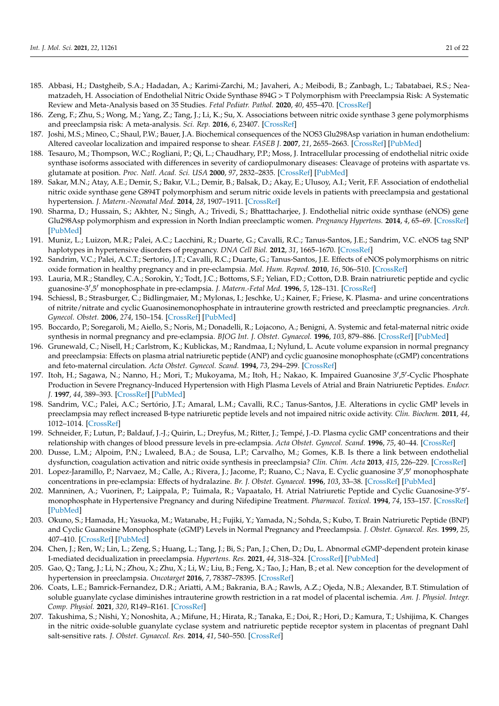- <span id="page-20-0"></span>185. Abbasi, H.; Dastgheib, S.A.; Hadadan, A.; Karimi-Zarchi, M.; Javaheri, A.; Meibodi, B.; Zanbagh, L.; Tabatabaei, R.S.; Neamatzadeh, H. Association of Endothelial Nitric Oxide Synthase 894G > T Polymorphism with Preeclampsia Risk: A Systematic Review and Meta-Analysis based on 35 Studies. *Fetal Pediatr. Pathol.* **2020**, *40*, 455–470. [\[CrossRef\]](http://doi.org/10.1080/15513815.2019.1710880)
- <span id="page-20-1"></span>186. Zeng, F.; Zhu, S.; Wong, M.; Yang, Z.; Tang, J.; Li, K.; Su, X. Associations between nitric oxide synthase 3 gene polymorphisms and preeclampsia risk: A meta-analysis. *Sci. Rep.* **2016**, *6*, 23407. [\[CrossRef\]](http://doi.org/10.1038/srep23407)
- <span id="page-20-2"></span>187. Joshi, M.S.; Mineo, C.; Shaul, P.W.; Bauer, J.A. Biochemical consequences of the NOS3 Glu298Asp variation in human endothelium: Altered caveolar localization and impaired response to shear. *FASEB J.* **2007**, *21*, 2655–2663. [\[CrossRef\]](http://doi.org/10.1096/fj.06-7088com) [\[PubMed\]](http://www.ncbi.nlm.nih.gov/pubmed/17449720)
- <span id="page-20-3"></span>188. Tesauro, M.; Thompson, W.C.; Rogliani, P.; Qi, L.; Chaudhary, P.P.; Moss, J. Intracellular processing of endothelial nitric oxide synthase isoforms associated with differences in severity of cardiopulmonary diseases: Cleavage of proteins with aspartate vs. glutamate at position. *Proc. Natl. Acad. Sci. USA* **2000**, *97*, 2832–2835. [\[CrossRef\]](http://doi.org/10.1073/pnas.97.6.2832) [\[PubMed\]](http://www.ncbi.nlm.nih.gov/pubmed/10717002)
- <span id="page-20-4"></span>189. Sakar, M.N.; Atay, A.E.; Demir, S.; Bakır, V.L.; Demir, B.; Balsak, D.; Akay, E.; Ulusoy, A.I.; Verit, F.F. Association of endothelial nitric oxide synthase gene G894T polymorphism and serum nitric oxide levels in patients with preeclampsia and gestational hypertension. *J. Matern.-Neonatal Med.* **2014**, *28*, 1907–1911. [\[CrossRef\]](http://doi.org/10.3109/14767058.2014.971748)
- <span id="page-20-5"></span>190. Sharma, D.; Hussain, S.; Akhter, N.; Singh, A.; Trivedi, S.; Bhatttacharjee, J. Endothelial nitric oxide synthase (eNOS) gene Glu298Asp polymorphism and expression in North Indian preeclamptic women. *Pregnancy Hypertens.* **2014**, *4*, 65–69. [\[CrossRef\]](http://doi.org/10.1016/j.preghy.2013.11.004) [\[PubMed\]](http://www.ncbi.nlm.nih.gov/pubmed/26104257)
- <span id="page-20-6"></span>191. Muniz, L.; Luizon, M.R.; Palei, A.C.; Lacchini, R.; Duarte, G.; Cavalli, R.C.; Tanus-Santos, J.E.; Sandrim, V.C. eNOS tag SNP haplotypes in hypertensive disorders of pregnancy. *DNA Cell Biol.* **2012**, *31*, 1665–1670. [\[CrossRef\]](http://doi.org/10.1089/dna.2012.1768)
- <span id="page-20-7"></span>192. Sandrim, V.C.; Palei, A.C.T.; Sertorio, J.T.; Cavalli, R.C.; Duarte, G.; Tanus-Santos, J.E. Effects of eNOS polymorphisms on nitric oxide formation in healthy pregnancy and in pre-eclampsia. *Mol. Hum. Reprod.* **2010**, *16*, 506–510. [\[CrossRef\]](http://doi.org/10.1093/molehr/gaq030)
- <span id="page-20-8"></span>193. Lauria, M.R.; Standley, C.A.; Sorokin, Y.; Todt, J.C.; Bottoms, S.F.; Yelian, F.D.; Cotton, D.B. Brain natriuretic peptide and cyclic guanosine-3',5' monophosphate in pre-eclampsia. *J. Matern.-Fetal Med.* **1996**, 5, 128–131. [\[CrossRef\]](http://doi.org/10.1002/(SICI)1520-6661(199605/06)5:3<128::AID-MFM6>3.0.CO;2-O)
- <span id="page-20-9"></span>194. Schiessl, B.; Strasburger, C.; Bidlingmaier, M.; Mylonas, I.; Jeschke, U.; Kainer, F.; Friese, K. Plasma- and urine concentrations of nitrite/nitrate and cyclic Guanosinemonophosphate in intrauterine growth restricted and preeclamptic pregnancies. *Arch. Gynecol. Obstet.* **2006**, *274*, 150–154. [\[CrossRef\]](http://doi.org/10.1007/s00404-006-0149-8) [\[PubMed\]](http://www.ncbi.nlm.nih.gov/pubmed/16532320)
- <span id="page-20-10"></span>195. Boccardo, P.; Soregaroli, M.; Aiello, S.; Noris, M.; Donadelli, R.; Lojacono, A.; Benigni, A. Systemic and fetal-maternal nitric oxide synthesis in normal pregnancy and pre-eclampsia. *BJOG Int. J. Obstet. Gynaecol.* **1996**, *103*, 879–886. [\[CrossRef\]](http://doi.org/10.1111/j.1471-0528.1996.tb09906.x) [\[PubMed\]](http://www.ncbi.nlm.nih.gov/pubmed/8813307)
- <span id="page-20-14"></span>196. Grunewald, C.; Nisell, H.; Carlstrom, K.; Kublickas, M.; Randmaa, I.; Nylund, L. Acute volume expansion in normal pregnancy and preeclampsia: Effects on plasma atrial natriuretic peptide (ANP) and cyclic guanosine monophosphate (cGMP) concentrations and feto-maternal circulation. *Acta Obstet. Gynecol. Scand.* **1994**, *73*, 294–299. [\[CrossRef\]](http://doi.org/10.3109/00016349409015766)
- 197. Itoh, H.; Sagawa, N.; Nanno, H.; Mori, T.; Mukoyama, M.; Itoh, H.; Nakao, K. Impaired Guanosine 3',5'-Cyclic Phosphate Production in Severe Pregnancy-Induced Hypertension with High Plasma Levels of Atrial and Brain Natriuretic Peptides. *Endocr. J.* **1997**, *44*, 389–393. [\[CrossRef\]](http://doi.org/10.1507/endocrj.44.389) [\[PubMed\]](http://www.ncbi.nlm.nih.gov/pubmed/9279514)
- 198. Sandrim, V.C.; Palei, A.C.; Sertório, J.T.; Amaral, L.M.; Cavalli, R.C.; Tanus-Santos, J.E. Alterations in cyclic GMP levels in preeclampsia may reflect increased B-type natriuretic peptide levels and not impaired nitric oxide activity. *Clin. Biochem.* **2011**, *44*, 1012–1014. [\[CrossRef\]](http://doi.org/10.1016/j.clinbiochem.2011.05.026)
- <span id="page-20-11"></span>199. Schneider, F.; Lutun, P.; Baldauf, J.-J.; Quirin, L.; Dreyfus, M.; Ritter, J.; Tempé, J.-D. Plasma cyclic GMP concentrations and their relationship with changes of blood pressure levels in pre-eclampsia. *Acta Obstet. Gynecol. Scand.* **1996**, *75*, 40–44. [\[CrossRef\]](http://doi.org/10.3109/00016349609033281)
- <span id="page-20-12"></span>200. Dusse, L.M.; Alpoim, P.N.; Lwaleed, B.A.; de Sousa, L.P.; Carvalho, M.; Gomes, K.B. Is there a link between endothelial dysfunction, coagulation activation and nitric oxide synthesis in preeclampsia? *Clin. Chim. Acta* **2013**, *415*, 226–229. [\[CrossRef\]](http://doi.org/10.1016/j.cca.2012.10.006)
- 201. Lopez-Jaramillo, P.; Narvaez, M.; Calle, A.; Rivera, J.; Jacome, P.; Ruano, C.; Nava, E. Cyclic guanosine 3',5' monophosphate concentrations in pre-eclampsia: Effects of hydralazine. *Br. J. Obstet. Gynaecol.* **1996**, *103*, 33–38. [\[CrossRef\]](http://doi.org/10.1111/j.1471-0528.1996.tb09512.x) [\[PubMed\]](http://www.ncbi.nlm.nih.gov/pubmed/8608095)
- 202. Manninen, A.; Vuorinen, P.; Laippala, P.; Tuimala, R.; Vapaatalo, H. Atrial Natriuretic Peptide and Cyclic Guanosine-3'5'monophosphate in Hypertensive Pregnancy and during Nifedipine Treatment. *Pharmacol. Toxicol.* **1994**, *74*, 153–157. [\[CrossRef\]](http://doi.org/10.1111/j.1600-0773.1994.tb01091.x) [\[PubMed\]](http://www.ncbi.nlm.nih.gov/pubmed/8008721)
- <span id="page-20-13"></span>203. Okuno, S.; Hamada, H.; Yasuoka, M.; Watanabe, H.; Fujiki, Y.; Yamada, N.; Sohda, S.; Kubo, T. Brain Natriuretic Peptide (BNP) and Cyclic Guanosine Monophosphate (cGMP) Levels in Normal Pregnancy and Preeclampsia. *J. Obstet. Gynaecol. Res.* **1999**, *25*, 407–410. [\[CrossRef\]](http://doi.org/10.1111/j.1447-0756.1999.tb01185.x) [\[PubMed\]](http://www.ncbi.nlm.nih.gov/pubmed/10680338)
- <span id="page-20-15"></span>204. Chen, J.; Ren, W.; Lin, L.; Zeng, S.; Huang, L.; Tang, J.; Bi, S.; Pan, J.; Chen, D.; Du, L. Abnormal cGMP-dependent protein kinase I-mediated decidualization in preeclampsia. *Hypertens. Res.* **2021**, *44*, 318–324. [\[CrossRef\]](http://doi.org/10.1038/s41440-020-00561-6) [\[PubMed\]](http://www.ncbi.nlm.nih.gov/pubmed/33093639)
- <span id="page-20-16"></span>205. Gao, Q.; Tang, J.; Li, N.; Zhou, X.; Zhu, X.; Li, W.; Liu, B.; Feng, X.; Tao, J.; Han, B.; et al. New conception for the development of hypertension in preeclampsia. *Oncotarget* **2016**, *7*, 78387–78395. [\[CrossRef\]](http://doi.org/10.18632/oncotarget.13410)
- <span id="page-20-17"></span>206. Coats, L.E.; Bamrick-Fernandez, D.R.; Ariatti, A.M.; Bakrania, B.A.; Rawls, A.Z.; Ojeda, N.B.; Alexander, B.T. Stimulation of soluble guanylate cyclase diminishes intrauterine growth restriction in a rat model of placental ischemia. *Am. J. Physiol. Integr. Comp. Physiol.* **2021**, *320*, R149–R161. [\[CrossRef\]](http://doi.org/10.1152/ajpregu.00234.2020)
- 207. Takushima, S.; Nishi, Y.; Nonoshita, A.; Mifune, H.; Hirata, R.; Tanaka, E.; Doi, R.; Hori, D.; Kamura, T.; Ushijima, K. Changes in the nitric oxide-soluble guanylate cyclase system and natriuretic peptide receptor system in placentas of pregnant Dahl salt-sensitive rats. *J. Obstet. Gynaecol. Res.* **2014**, *41*, 540–550. [\[CrossRef\]](http://doi.org/10.1111/jog.12602)